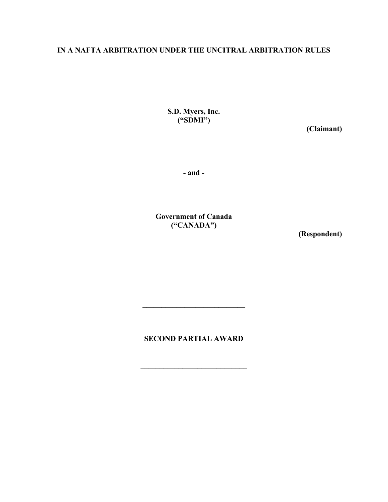# **IN A NAFTA ARBITRATION UNDER THE UNCITRAL ARBITRATION RULES**

**S.D. Myers, Inc. ("SDMI")** 

**(Claimant)** 

**- and -** 

**Government of Canada ("CANADA")** 

**(Respondent)** 

**SECOND PARTIAL AWARD** 

**\_\_\_\_\_\_\_\_\_\_\_\_\_\_\_\_\_\_\_\_\_\_\_\_\_\_\_\_**

**\_\_\_\_\_\_\_\_\_\_\_\_\_\_\_\_\_\_\_\_\_\_\_\_\_\_\_**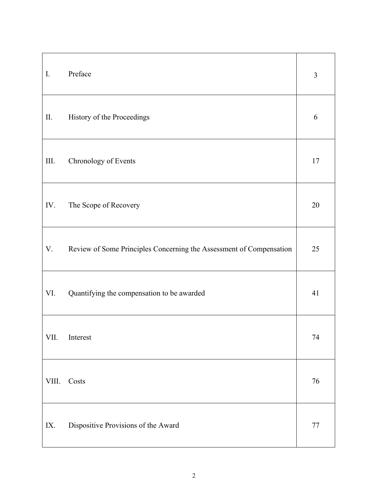| I.         | Preface                                                             | 3      |
|------------|---------------------------------------------------------------------|--------|
| $\rm{II}.$ | History of the Proceedings                                          | 6      |
| III.       | Chronology of Events                                                | 17     |
| IV.        | The Scope of Recovery                                               | 20     |
| V.         | Review of Some Principles Concerning the Assessment of Compensation | 25     |
| VI.        | Quantifying the compensation to be awarded                          | 41     |
| VII.       | Interest                                                            | 74     |
| VIII.      | Costs                                                               | 76     |
| IX.        | Dispositive Provisions of the Award                                 | $77\,$ |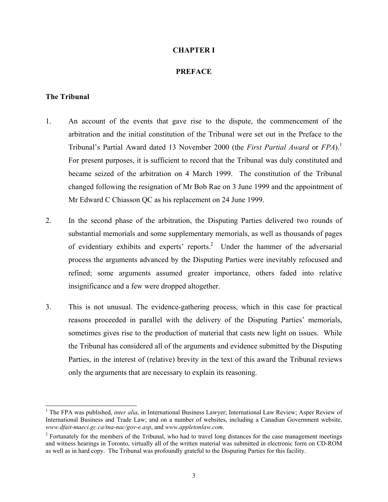#### **CHAPTER I**

#### <span id="page-2-0"></span>**PREFACE**

#### **The Tribunal**

- 1. An account of the events that gave rise to the dispute, the commencement of the arbitration and the initial constitution of the Tribunal were set out in the Preface to the Tribunal's Partial Award dated 13 November 2000 (the *First Partial Award* or *FPA*)[.1](#page-2-1) For present purposes, it is sufficient to record that the Tribunal was duly constituted and became seized of the arbitration on 4 March 1999. The constitution of the Tribunal changed following the resignation of Mr Bob Rae on 3 June 1999 and the appointment of Mr Edward C Chiasson QC as his replacement on 24 June 1999.
- 2. In the second phase of the arbitration, the Disputing Parties delivered two rounds of substantial memorials and some supplementary memorials, as well as thousands of pages of evidentiary exhibits and experts' reports.<sup>2</sup> Under the hammer of the adversarial process the arguments advanced by the Disputing Parties were inevitably refocused and refined; some arguments assumed greater importance, others faded into relative insignificance and a few were dropped altogether.
- 3. This is not unusual. The evidence-gathering process, which in this case for practical reasons proceeded in parallel with the delivery of the Disputing Parties' memorials, sometimes gives rise to the production of material that casts new light on issues. While the Tribunal has considered all of the arguments and evidence submitted by the Disputing Parties, in the interest of (relative) brevity in the text of this award the Tribunal reviews only the arguments that are necessary to explain its reasoning.

<span id="page-2-1"></span><sup>|&</sup>lt;br>|<br>| <sup>1</sup> The FPA was published, *inter alia*, in International Business Lawyer; International Law Review; Asper Review of International Business and Trade Law; and on a number of websites, including a Canadian Government website, *www.dfait-maeci.gc.ca/tna-nac/gov-e.asp*, and *www.appletonlaw.com*.

<span id="page-2-2"></span> $2^2$  Fortunately for the members of the Tribunal, who had to travel long distances for the case management meetings and witness hearings in Toronto, virtually all of the written material was submitted in electronic form on CD-ROM as well as in hard copy. The Tribunal was profoundly grateful to the Disputing Parties for this facility.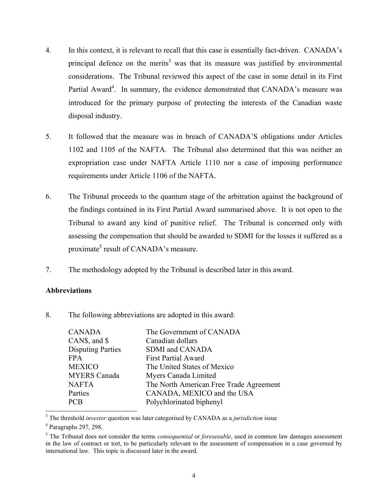- 4. In this context, it is relevant to recall that this case is essentially fact-driven. CANADA's principal defence on the merits<sup>3</sup> was that its measure was justified by environmental considerations. The Tribunal reviewed this aspect of the case in some detail in its First Partial Award<sup>4</sup>. In summary, the evidence demonstrated that CANADA's measure was introduced for the primary purpose of protecting the interests of the Canadian waste disposal industry.
- 5. It followed that the measure was in breach of CANADA'S obligations under Articles 1102 and 1105 of the NAFTA. The Tribunal also determined that this was neither an expropriation case under NAFTA Article 1110 nor a case of imposing performance requirements under Article 1106 of the NAFTA.
- 6. The Tribunal proceeds to the quantum stage of the arbitration against the background of the findings contained in its First Partial Award summarised above. It is not open to the Tribunal to award any kind of punitive relief. The Tribunal is concerned only with assessing the compensation that should be awarded to SDMI for the losses it suffered as a proximate<sup>[5](#page-3-2)</sup> result of CANADA's measure.
- 7. The methodology adopted by the Tribunal is described later in this award.

# **Abbreviations**

8. The following abbreviations are adopted in this award:

| <b>CANADA</b>            | The Government of CANADA                |
|--------------------------|-----------------------------------------|
| CANS, and $\$$           | Canadian dollars                        |
| <b>Disputing Parties</b> | <b>SDMI</b> and CANADA                  |
| <b>FPA</b>               | <b>First Partial Award</b>              |
| <b>MEXICO</b>            | The United States of Mexico             |
| <b>MYERS</b> Canada      | Myers Canada Limited                    |
| <b>NAFTA</b>             | The North American Free Trade Agreement |
| Parties                  | CANADA, MEXICO and the USA              |
| <b>PCB</b>               | Polychlorinated biphenyl                |

<span id="page-3-0"></span> 3 <sup>3</sup> The threshold *investor* question was later categorised by CANADA as a *jurisdiction* issue <sup>4</sup> Paragraphs 297, 298.

<span id="page-3-1"></span>

<span id="page-3-2"></span><sup>5</sup> The Tribunal does not consider the terms *consequential* or *foreseeable*, used in common law damages assessment in the law of contract or tort, to be particularly relevant to the assessment of compensation in a case governed by international law. This topic is discussed later in the award.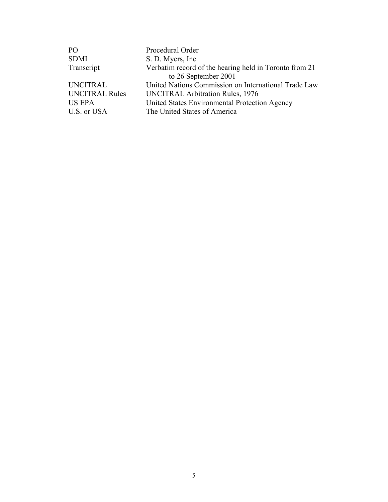| Procedural Order                                       |
|--------------------------------------------------------|
| S. D. Myers, Inc.                                      |
| Verbatim record of the hearing held in Toronto from 21 |
| to 26 September 2001                                   |
| United Nations Commission on International Trade Law   |
| <b>UNCITRAL Arbitration Rules, 1976</b>                |
| United States Environmental Protection Agency          |
| The United States of America                           |
|                                                        |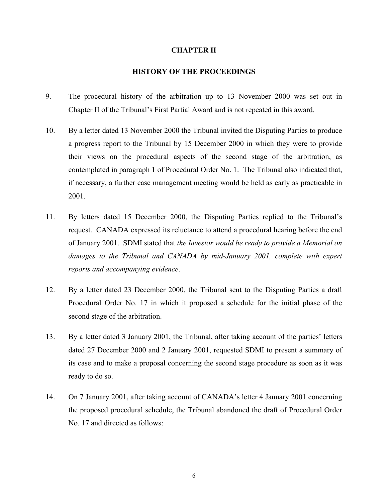#### <span id="page-5-0"></span>**CHAPTER II**

# **HISTORY OF THE PROCEEDINGS**

- 9. The procedural history of the arbitration up to 13 November 2000 was set out in Chapter II of the Tribunal's First Partial Award and is not repeated in this award.
- 10. By a letter dated 13 November 2000 the Tribunal invited the Disputing Parties to produce a progress report to the Tribunal by 15 December 2000 in which they were to provide their views on the procedural aspects of the second stage of the arbitration, as contemplated in paragraph 1 of Procedural Order No. 1. The Tribunal also indicated that, if necessary, a further case management meeting would be held as early as practicable in 2001.
- 11. By letters dated 15 December 2000, the Disputing Parties replied to the Tribunal's request. CANADA expressed its reluctance to attend a procedural hearing before the end of January 2001. SDMI stated that *the Investor would be ready to provide a Memorial on*  damages to the Tribunal and CANADA by mid-January 2001, complete with expert *reports and accompanying evidence*.
- 12. By a letter dated 23 December 2000, the Tribunal sent to the Disputing Parties a draft Procedural Order No. 17 in which it proposed a schedule for the initial phase of the second stage of the arbitration.
- 13. By a letter dated 3 January 2001, the Tribunal, after taking account of the parties' letters dated 27 December 2000 and 2 January 2001, requested SDMI to present a summary of its case and to make a proposal concerning the second stage procedure as soon as it was ready to do so.
- 14. On 7 January 2001, after taking account of CANADA's letter 4 January 2001 concerning the proposed procedural schedule, the Tribunal abandoned the draft of Procedural Order No. 17 and directed as follows: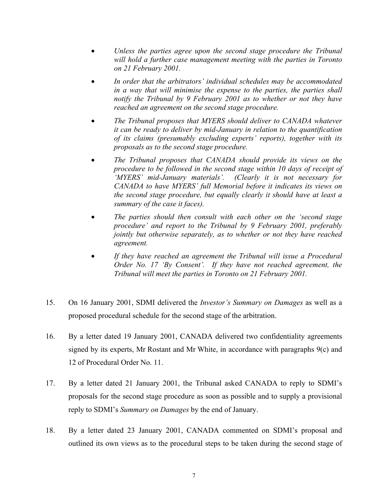- *Unless the parties agree upon the second stage procedure the Tribunal will hold a further case management meeting with the parties in Toronto on 21 February 2001.*
- *In order that the arbitrators' individual schedules may be accommodated in a way that will minimise the expense to the parties, the parties shall notify the Tribunal by 9 February 2001 as to whether or not they have reached an agreement on the second stage procedure.*
- *The Tribunal proposes that MYERS should deliver to CANADA whatever it can be ready to deliver by mid-January in relation to the quantification of its claims (presumably excluding experts' reports), together with its proposals as to the second stage procedure.*
- *The Tribunal proposes that CANADA should provide its views on the procedure to be followed in the second stage within 10 days of receipt of 'MYERS' mid-January materials'. (Clearly it is not necessary for CANADA to have MYERS' full Memorial before it indicates its views on the second stage procedure, but equally clearly it should have at least a summary of the case it faces).*
- *The parties should then consult with each other on the 'second stage procedure' and report to the Tribunal by 9 February 2001, preferably jointly but otherwise separately, as to whether or not they have reached agreement.*
- *If they have reached an agreement the Tribunal will issue a Procedural Order No. 17 'By Consent'. If they have not reached agreement, the Tribunal will meet the parties in Toronto on 21 February 2001.*
- 15. On 16 January 2001, SDMI delivered the *Investor's Summary on Damages* as well as a proposed procedural schedule for the second stage of the arbitration.
- 16. By a letter dated 19 January 2001, CANADA delivered two confidentiality agreements signed by its experts, Mr Rostant and Mr White, in accordance with paragraphs 9(c) and 12 of Procedural Order No. 11.
- 17. By a letter dated 21 January 2001, the Tribunal asked CANADA to reply to SDMI's proposals for the second stage procedure as soon as possible and to supply a provisional reply to SDMI's *Summary on Damages* by the end of January.
- 18. By a letter dated 23 January 2001, CANADA commented on SDMI's proposal and outlined its own views as to the procedural steps to be taken during the second stage of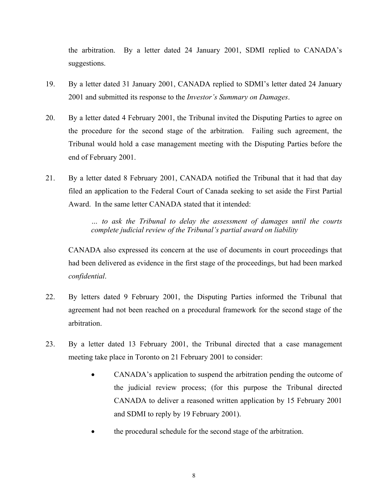the arbitration. By a letter dated 24 January 2001, SDMI replied to CANADA's suggestions.

- 19. By a letter dated 31 January 2001, CANADA replied to SDMI's letter dated 24 January 2001 and submitted its response to the *Investor's Summary on Damages*.
- 20. By a letter dated 4 February 2001, the Tribunal invited the Disputing Parties to agree on the procedure for the second stage of the arbitration. Failing such agreement, the Tribunal would hold a case management meeting with the Disputing Parties before the end of February 2001.
- 21. By a letter dated 8 February 2001, CANADA notified the Tribunal that it had that day filed an application to the Federal Court of Canada seeking to set aside the First Partial Award. In the same letter CANADA stated that it intended:

*… to ask the Tribunal to delay the assessment of damages until the courts complete judicial review of the Tribunal's partial award on liability* 

CANADA also expressed its concern at the use of documents in court proceedings that had been delivered as evidence in the first stage of the proceedings, but had been marked *confidential*.

- 22. By letters dated 9 February 2001, the Disputing Parties informed the Tribunal that agreement had not been reached on a procedural framework for the second stage of the arbitration.
- 23. By a letter dated 13 February 2001, the Tribunal directed that a case management meeting take place in Toronto on 21 February 2001 to consider:
	- CANADA's application to suspend the arbitration pending the outcome of the judicial review process; (for this purpose the Tribunal directed CANADA to deliver a reasoned written application by 15 February 2001 and SDMI to reply by 19 February 2001).
	- the procedural schedule for the second stage of the arbitration.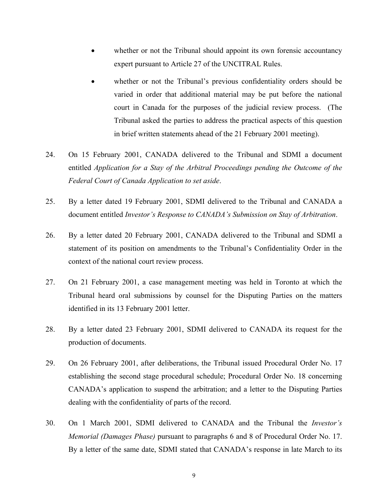- whether or not the Tribunal should appoint its own forensic accountancy expert pursuant to Article 27 of the UNCITRAL Rules.
- whether or not the Tribunal's previous confidentiality orders should be varied in order that additional material may be put before the national court in Canada for the purposes of the judicial review process. (The Tribunal asked the parties to address the practical aspects of this question in brief written statements ahead of the 21 February 2001 meeting).
- 24. On 15 February 2001, CANADA delivered to the Tribunal and SDMI a document entitled *Application for a Stay of the Arbitral Proceedings pending the Outcome of the Federal Court of Canada Application to set aside*.
- 25. By a letter dated 19 February 2001, SDMI delivered to the Tribunal and CANADA a document entitled *Investor's Response to CANADA's Submission on Stay of Arbitration*.
- 26. By a letter dated 20 February 2001, CANADA delivered to the Tribunal and SDMI a statement of its position on amendments to the Tribunal's Confidentiality Order in the context of the national court review process.
- 27. On 21 February 2001, a case management meeting was held in Toronto at which the Tribunal heard oral submissions by counsel for the Disputing Parties on the matters identified in its 13 February 2001 letter.
- 28. By a letter dated 23 February 2001, SDMI delivered to CANADA its request for the production of documents.
- 29. On 26 February 2001, after deliberations, the Tribunal issued Procedural Order No. 17 establishing the second stage procedural schedule; Procedural Order No. 18 concerning CANADA's application to suspend the arbitration; and a letter to the Disputing Parties dealing with the confidentiality of parts of the record.
- 30. On 1 March 2001, SDMI delivered to CANADA and the Tribunal the *Investor's Memorial (Damages Phase)* pursuant to paragraphs 6 and 8 of Procedural Order No. 17. By a letter of the same date, SDMI stated that CANADA's response in late March to its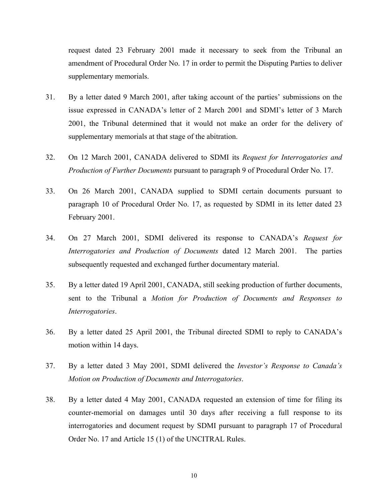request dated 23 February 2001 made it necessary to seek from the Tribunal an amendment of Procedural Order No. 17 in order to permit the Disputing Parties to deliver supplementary memorials.

- 31. By a letter dated 9 March 2001, after taking account of the parties' submissions on the issue expressed in CANADA's letter of 2 March 2001 and SDMI's letter of 3 March 2001, the Tribunal determined that it would not make an order for the delivery of supplementary memorials at that stage of the abitration.
- 32. On 12 March 2001, CANADA delivered to SDMI its *Request for Interrogatories and Production of Further Documents* pursuant to paragraph 9 of Procedural Order No. 17.
- 33. On 26 March 2001, CANADA supplied to SDMI certain documents pursuant to paragraph 10 of Procedural Order No. 17, as requested by SDMI in its letter dated 23 February 2001.
- 34. On 27 March 2001, SDMI delivered its response to CANADA's *Request for Interrogatories and Production of Documents* dated 12 March 2001. The parties subsequently requested and exchanged further documentary material.
- 35. By a letter dated 19 April 2001, CANADA, still seeking production of further documents, sent to the Tribunal a *Motion for Production of Documents and Responses to Interrogatories*.
- 36. By a letter dated 25 April 2001, the Tribunal directed SDMI to reply to CANADA's motion within 14 days.
- 37. By a letter dated 3 May 2001, SDMI delivered the *Investor's Response to Canada's Motion on Production of Documents and Interrogatories*.
- 38. By a letter dated 4 May 2001, CANADA requested an extension of time for filing its counter-memorial on damages until 30 days after receiving a full response to its interrogatories and document request by SDMI pursuant to paragraph 17 of Procedural Order No. 17 and Article 15 (1) of the UNCITRAL Rules.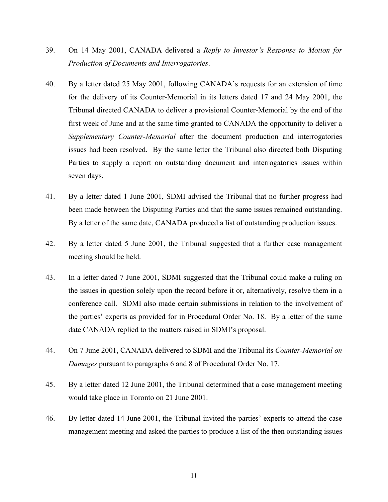- 39. On 14 May 2001, CANADA delivered a *Reply to Investor's Response to Motion for Production of Documents and Interrogatories*.
- 40. By a letter dated 25 May 2001, following CANADA's requests for an extension of time for the delivery of its Counter-Memorial in its letters dated 17 and 24 May 2001, the Tribunal directed CANADA to deliver a provisional Counter-Memorial by the end of the first week of June and at the same time granted to CANADA the opportunity to deliver a *Supplementary Counter-Memorial* after the document production and interrogatories issues had been resolved. By the same letter the Tribunal also directed both Disputing Parties to supply a report on outstanding document and interrogatories issues within seven days.
- 41. By a letter dated 1 June 2001, SDMI advised the Tribunal that no further progress had been made between the Disputing Parties and that the same issues remained outstanding. By a letter of the same date, CANADA produced a list of outstanding production issues.
- 42. By a letter dated 5 June 2001, the Tribunal suggested that a further case management meeting should be held.
- 43. In a letter dated 7 June 2001, SDMI suggested that the Tribunal could make a ruling on the issues in question solely upon the record before it or, alternatively, resolve them in a conference call. SDMI also made certain submissions in relation to the involvement of the parties' experts as provided for in Procedural Order No. 18. By a letter of the same date CANADA replied to the matters raised in SDMI's proposal.
- 44. On 7 June 2001, CANADA delivered to SDMI and the Tribunal its *Counter-Memorial on Damages* pursuant to paragraphs 6 and 8 of Procedural Order No. 17.
- 45. By a letter dated 12 June 2001, the Tribunal determined that a case management meeting would take place in Toronto on 21 June 2001.
- 46. By letter dated 14 June 2001, the Tribunal invited the parties' experts to attend the case management meeting and asked the parties to produce a list of the then outstanding issues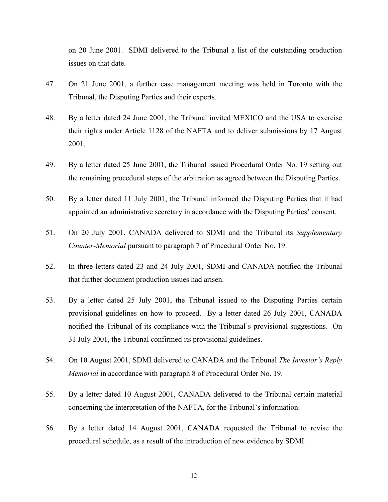on 20 June 2001. SDMI delivered to the Tribunal a list of the outstanding production issues on that date.

- 47. On 21 June 2001, a further case management meeting was held in Toronto with the Tribunal, the Disputing Parties and their experts.
- 48. By a letter dated 24 June 2001, the Tribunal invited MEXICO and the USA to exercise their rights under Article 1128 of the NAFTA and to deliver submissions by 17 August 2001.
- 49. By a letter dated 25 June 2001, the Tribunal issued Procedural Order No. 19 setting out the remaining procedural steps of the arbitration as agreed between the Disputing Parties.
- 50. By a letter dated 11 July 2001, the Tribunal informed the Disputing Parties that it had appointed an administrative secretary in accordance with the Disputing Parties' consent.
- 51. On 20 July 2001, CANADA delivered to SDMI and the Tribunal its *Supplementary Counter-Memorial* pursuant to paragraph 7 of Procedural Order No. 19.
- 52. In three letters dated 23 and 24 July 2001, SDMI and CANADA notified the Tribunal that further document production issues had arisen.
- 53. By a letter dated 25 July 2001, the Tribunal issued to the Disputing Parties certain provisional guidelines on how to proceed. By a letter dated 26 July 2001, CANADA notified the Tribunal of its compliance with the Tribunal's provisional suggestions. On 31 July 2001, the Tribunal confirmed its provisional guidelines.
- 54. On 10 August 2001, SDMI delivered to CANADA and the Tribunal *The Investor's Reply Memorial* in accordance with paragraph 8 of Procedural Order No. 19.
- 55. By a letter dated 10 August 2001, CANADA delivered to the Tribunal certain material concerning the interpretation of the NAFTA, for the Tribunal's information.
- 56. By a letter dated 14 August 2001, CANADA requested the Tribunal to revise the procedural schedule, as a result of the introduction of new evidence by SDMI.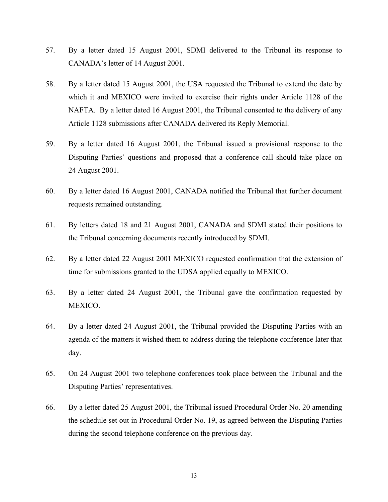- 57. By a letter dated 15 August 2001, SDMI delivered to the Tribunal its response to CANADA's letter of 14 August 2001.
- 58. By a letter dated 15 August 2001, the USA requested the Tribunal to extend the date by which it and MEXICO were invited to exercise their rights under Article 1128 of the NAFTA. By a letter dated 16 August 2001, the Tribunal consented to the delivery of any Article 1128 submissions after CANADA delivered its Reply Memorial.
- 59. By a letter dated 16 August 2001, the Tribunal issued a provisional response to the Disputing Parties' questions and proposed that a conference call should take place on 24 August 2001.
- 60. By a letter dated 16 August 2001, CANADA notified the Tribunal that further document requests remained outstanding.
- 61. By letters dated 18 and 21 August 2001, CANADA and SDMI stated their positions to the Tribunal concerning documents recently introduced by SDMI.
- 62. By a letter dated 22 August 2001 MEXICO requested confirmation that the extension of time for submissions granted to the UDSA applied equally to MEXICO.
- 63. By a letter dated 24 August 2001, the Tribunal gave the confirmation requested by MEXICO.
- 64. By a letter dated 24 August 2001, the Tribunal provided the Disputing Parties with an agenda of the matters it wished them to address during the telephone conference later that day.
- 65. On 24 August 2001 two telephone conferences took place between the Tribunal and the Disputing Parties' representatives.
- 66. By a letter dated 25 August 2001, the Tribunal issued Procedural Order No. 20 amending the schedule set out in Procedural Order No. 19, as agreed between the Disputing Parties during the second telephone conference on the previous day.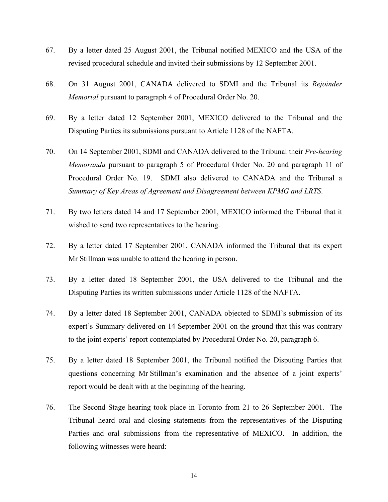- 67. By a letter dated 25 August 2001, the Tribunal notified MEXICO and the USA of the revised procedural schedule and invited their submissions by 12 September 2001.
- 68. On 31 August 2001, CANADA delivered to SDMI and the Tribunal its *Rejoinder Memorial* pursuant to paragraph 4 of Procedural Order No. 20.
- 69. By a letter dated 12 September 2001, MEXICO delivered to the Tribunal and the Disputing Parties its submissions pursuant to Article 1128 of the NAFTA.
- 70. On 14 September 2001, SDMI and CANADA delivered to the Tribunal their *Pre-hearing Memoranda* pursuant to paragraph 5 of Procedural Order No. 20 and paragraph 11 of Procedural Order No. 19. SDMI also delivered to CANADA and the Tribunal a *Summary of Key Areas of Agreement and Disagreement between KPMG and LRTS*.
- 71. By two letters dated 14 and 17 September 2001, MEXICO informed the Tribunal that it wished to send two representatives to the hearing.
- 72. By a letter dated 17 September 2001, CANADA informed the Tribunal that its expert Mr Stillman was unable to attend the hearing in person.
- 73. By a letter dated 18 September 2001, the USA delivered to the Tribunal and the Disputing Parties its written submissions under Article 1128 of the NAFTA.
- 74. By a letter dated 18 September 2001, CANADA objected to SDMI's submission of its expert's Summary delivered on 14 September 2001 on the ground that this was contrary to the joint experts' report contemplated by Procedural Order No. 20, paragraph 6.
- 75. By a letter dated 18 September 2001, the Tribunal notified the Disputing Parties that questions concerning Mr Stillman's examination and the absence of a joint experts' report would be dealt with at the beginning of the hearing.
- 76. The Second Stage hearing took place in Toronto from 21 to 26 September 2001. The Tribunal heard oral and closing statements from the representatives of the Disputing Parties and oral submissions from the representative of MEXICO. In addition, the following witnesses were heard: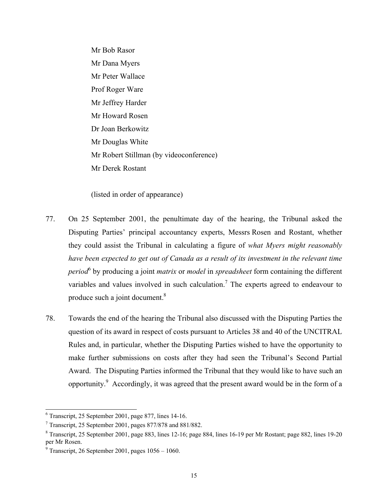Mr Bob Rasor Mr Dana Myers Mr Peter Wallace Prof Roger Ware Mr Jeffrey Harder Mr Howard Rosen Dr Joan Berkowitz Mr Douglas White Mr Robert Stillman (by videoconference) Mr Derek Rostant

(listed in order of appearance)

- 77. On 25 September 2001, the penultimate day of the hearing, the Tribunal asked the Disputing Parties' principal accountancy experts, Messrs Rosen and Rostant, whether they could assist the Tribunal in calculating a figure of *what Myers might reasonably have been expected to get out of Canada as a result of its investment in the relevant time period*<sup>6</sup> by producing a joint *matrix* or *model* in *spreadsheet* form containing the different variables and values involved in such calculation.<sup>[7](#page-14-1)</sup> The experts agreed to endeavour to produce such a joint document. $8$
- 78. Towards the end of the hearing the Tribunal also discussed with the Disputing Parties the question of its award in respect of costs pursuant to Articles 38 and 40 of the UNCITRAL Rules and, in particular, whether the Disputing Parties wished to have the opportunity to make further submissions on costs after they had seen the Tribunal's Second Partial Award. The Disputing Parties informed the Tribunal that they would like to have such an opportunity.<sup>9</sup> Accordingly, it was agreed that the present award would be in the form of a

<span id="page-14-0"></span><sup>&</sup>lt;sup>6</sup> Transcript, 25 September 2001, page 877, lines 14-16.<br><sup>7</sup> Transcript, 25 September 2001, pages 877/878 and 881/882.

<span id="page-14-1"></span>

<span id="page-14-2"></span><sup>&</sup>lt;sup>8</sup> Transcript, 25 September 2001, page 883, lines 12-16; page 884, lines 16-19 per Mr Rostant; page 882, lines 19-20 per Mr Rosen.

<span id="page-14-3"></span> $9$  Transcript, 26 September 2001, pages  $1056 - 1060$ .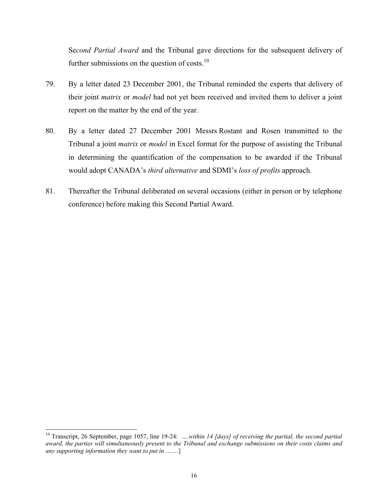Se*cond Partial Award* and the Tribunal gave directions for the subsequent delivery of further submissions on the question of costs. $10$ 

- 79. By a letter dated 23 December 2001, the Tribunal reminded the experts that delivery of their joint *matrix* or *model* had not yet been received and invited them to deliver a joint report on the matter by the end of the year.
- 80. By a letter dated 27 December 2001 Messrs Rostant and Rosen transmitted to the Tribunal a joint *matrix* or *model* in Excel format for the purpose of assisting the Tribunal in determining the quantification of the compensation to be awarded if the Tribunal would adopt CANADA's *third alternative* and SDMI's *loss of profits* approach.
- 81. Thereafter the Tribunal deliberated on several occasions (either in person or by telephone conference) before making this Second Partial Award.

<span id="page-15-0"></span><sup>&</sup>lt;sup>10</sup> Transcript, 26 September, page 1057, line 19-24: *….within 14 [days] of receiving the partial, the second partial award, the parties will simultaneously present to the Tribunal and exchange submissions on their costs claims and any supporting information they want to put in …….*]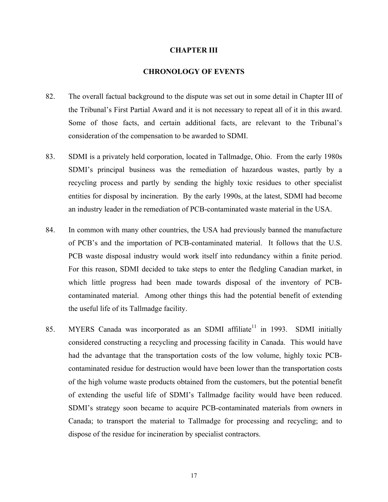#### <span id="page-16-0"></span>**CHAPTER III**

# **CHRONOLOGY OF EVENTS**

- 82. The overall factual background to the dispute was set out in some detail in Chapter III of the Tribunal's First Partial Award and it is not necessary to repeat all of it in this award. Some of those facts, and certain additional facts, are relevant to the Tribunal's consideration of the compensation to be awarded to SDMI.
- 83. SDMI is a privately held corporation, located in Tallmadge, Ohio. From the early 1980s SDMI's principal business was the remediation of hazardous wastes, partly by a recycling process and partly by sending the highly toxic residues to other specialist entities for disposal by incineration. By the early 1990s, at the latest, SDMI had become an industry leader in the remediation of PCB-contaminated waste material in the USA.
- 84. In common with many other countries, the USA had previously banned the manufacture of PCB's and the importation of PCB-contaminated material. It follows that the U.S. PCB waste disposal industry would work itself into redundancy within a finite period. For this reason, SDMI decided to take steps to enter the fledgling Canadian market, in which little progress had been made towards disposal of the inventory of PCBcontaminated material. Among other things this had the potential benefit of extending the useful life of its Tallmadge facility.
- <span id="page-16-1"></span>85. MYERS Canada was incorporated as an SDMI affiliate<sup>11</sup> in 1993. SDMI initially considered constructing a recycling and processing facility in Canada. This would have had the advantage that the transportation costs of the low volume, highly toxic PCBcontaminated residue for destruction would have been lower than the transportation costs of the high volume waste products obtained from the customers, but the potential benefit of extending the useful life of SDMI's Tallmadge facility would have been reduced. SDMI's strategy soon became to acquire PCB-contaminated materials from owners in Canada; to transport the material to Tallmadge for processing and recycling; and to dispose of the residue for incineration by specialist contractors.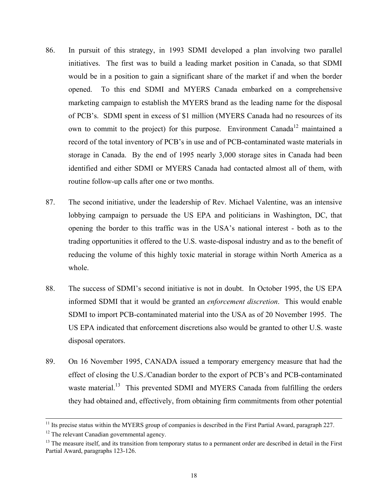- 86. In pursuit of this strategy, in 1993 SDMI developed a plan involving two parallel initiatives. The first was to build a leading market position in Canada, so that SDMI would be in a position to gain a significant share of the market if and when the border opened. To this end SDMI and MYERS Canada embarked on a comprehensive marketing campaign to establish the MYERS brand as the leading name for the disposal of PCB's. SDMI spent in excess of \$1 million (MYERS Canada had no resources of its own to commit to the project) for this purpose. Environment Canada<sup>[12](#page-17-0)</sup> maintained a record of the total inventory of PCB's in use and of PCB-contaminated waste materials in storage in Canada. By the end of 1995 nearly 3,000 storage sites in Canada had been identified and either SDMI or MYERS Canada had contacted almost all of them, with routine follow-up calls after one or two months.
- 87. The second initiative, under the leadership of Rev. Michael Valentine, was an intensive lobbying campaign to persuade the US EPA and politicians in Washington, DC, that opening the border to this traffic was in the USA's national interest - both as to the trading opportunities it offered to the U.S. waste-disposal industry and as to the benefit of reducing the volume of this highly toxic material in storage within North America as a whole.
- 88. The success of SDMI's second initiative is not in doubt. In October 1995, the US EPA informed SDMI that it would be granted an *enforcement discretion*. This would enable SDMI to import PCB-contaminated material into the USA as of 20 November 1995. The US EPA indicated that enforcement discretions also would be granted to other U.S. waste disposal operators.
- 89. On 16 November 1995, CANADA issued a temporary emergency measure that had the effect of closing the U.S./Canadian border to the export of PCB's and PCB-contaminated waste material.<sup>13</sup> This prevented SDMI and MYERS Canada from fulfilling the orders they had obtained and, effectively, from obtaining firm commitments from other potential

<sup>&</sup>lt;sup>11</sup> Its precise status within the MYERS group of companies is described in the First Partial Award, paragraph 227.

<span id="page-17-0"></span><sup>&</sup>lt;sup>12</sup> The relevant Canadian governmental agency.

<span id="page-17-1"></span><sup>&</sup>lt;sup>13</sup> The measure itself, and its transition from temporary status to a permanent order are described in detail in the First Partial Award, paragraphs 123-126.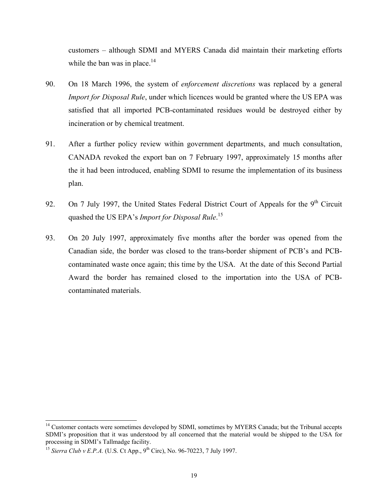customers – although SDMI and MYERS Canada did maintain their marketing efforts while the ban was in place. $14$ 

- 90. On 18 March 1996, the system of *enforcement discretions* was replaced by a general *Import for Disposal Rule*, under which licences would be granted where the US EPA was satisfied that all imported PCB-contaminated residues would be destroyed either by incineration or by chemical treatment.
- 91. After a further policy review within government departments, and much consultation, CANADA revoked the export ban on 7 February 1997, approximately 15 months after the it had been introduced, enabling SDMI to resume the implementation of its business plan.
- 92. On 7 July 1997, the United States Federal District Court of Appeals for the  $9<sup>th</sup>$  Circuit quashed the US EPA's *Import for Disposal Rule*. [15](#page-18-1)
- 93. On 20 July 1997, approximately five months after the border was opened from the Canadian side, the border was closed to the trans-border shipment of PCB's and PCBcontaminated waste once again; this time by the USA. At the date of this Second Partial Award the border has remained closed to the importation into the USA of PCBcontaminated materials.

<span id="page-18-0"></span><sup>&</sup>lt;sup>14</sup> Customer contacts were sometimes developed by SDMI, sometimes by MYERS Canada; but the Tribunal accepts SDMI's proposition that it was understood by all concerned that the material would be shipped to the USA for

<span id="page-18-1"></span><sup>&</sup>lt;sup>15</sup> Sierra Club v *E.P.A.* (U.S. Ct App., 9<sup>th</sup> Circ), No. 96-70223, 7 July 1997.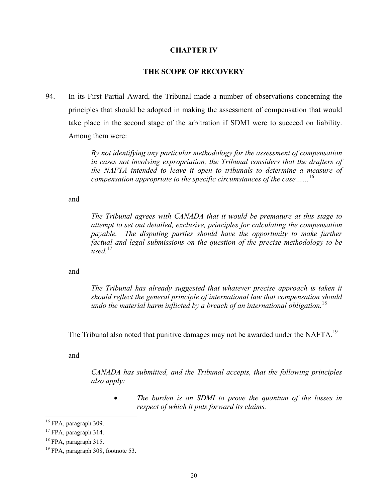#### <span id="page-19-0"></span>**CHAPTER IV**

# **THE SCOPE OF RECOVERY**

94. In its First Partial Award, the Tribunal made a number of observations concerning the principles that should be adopted in making the assessment of compensation that would take place in the second stage of the arbitration if SDMI were to succeed on liability. Among them were:

> *By not identifying any particular methodology for the assessment of compensation in cases not involving expropriation, the Tribunal considers that the drafters of the NAFTA intended to leave it open to tribunals to determine a measure of compensation appropriate to the specific circumstances of the case……*[16](#page-19-1)

and

*The Tribunal agrees with CANADA that it would be premature at this stage to attempt to set out detailed, exclusive, principles for calculating the compensation payable. The disputing parties should have the opportunity to make further factual and legal submissions on the question of the precise methodology to be used.*[17](#page-19-2)

and

*The Tribunal has already suggested that whatever precise approach is taken it should reflect the general principle of international law that compensation should undo the material harm inflicted by a breach of an international obligation.*[18](#page-19-3)

The Tribunal also noted that punitive damages may not be awarded under the NAFTA.<sup>[19](#page-19-4)</sup>

and

*CANADA has submitted, and the Tribunal accepts, that the following principles also apply:* 

• *The burden is on SDMI to prove the quantum of the losses in respect of which it puts forward its claims.* 

<span id="page-19-1"></span><sup>&</sup>lt;sup>16</sup> FPA, paragraph 309.

<span id="page-19-2"></span>

<span id="page-19-4"></span><span id="page-19-3"></span>

<sup>&</sup>lt;sup>17</sup> FPA, paragraph 314.<br><sup>18</sup> FPA, paragraph 315.<br><sup>19</sup> FPA, paragraph 308, footnote 53.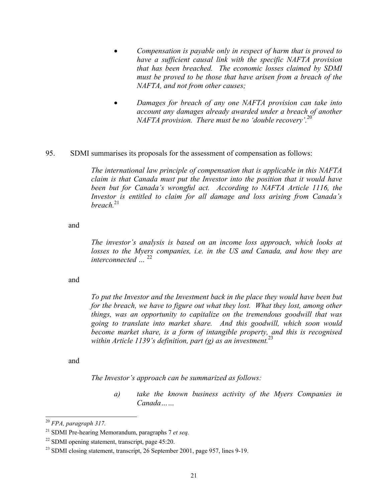- *Compensation is payable only in respect of harm that is proved to have a sufficient causal link with the specific NAFTA provision that has been breached. The economic losses claimed by SDMI must be proved to be those that have arisen from a breach of the NAFTA, and not from other causes;*
- *Damages for breach of any one NAFTA provision can take into account any damages already awarded under a breach of another NAFTA provision. There must be no 'double recovery'.*[20](#page-20-0)

#### 95. SDMI summarises its proposals for the assessment of compensation as follows:

*The international law principle of compensation that is applicable in this NAFTA claim is that Canada must put the Investor into the position that it would have*  been but for Canada's wrongful act. According to NAFTA Article 1116, the *Investor is entitled to claim for all damage and loss arising from Canada's breach.*[21](#page-20-1)

and

*The investor's analysis is based on an income loss approach, which looks at losses to the Myers companies, i.e. in the US and Canada, and how they are interconnected …* [22](#page-20-2)

#### and

*To put the Investor and the Investment back in the place they would have been but for the breach, we have to figure out what they lost. What they lost, among other things, was an opportunity to capitalize on the tremendous goodwill that was going to translate into market share. And this goodwill, which soon would become market share, is a form of intangible property, and this is recognised within Article 1139's definition, part (g) as an investment.*[23](#page-20-3)

and

*The Investor's approach can be summarized as follows:* 

*a) take the known business activity of the Myers Companies in Canada……* 

<span id="page-20-0"></span> <sup>20</sup> *FPA, paragraph 317.*

<span id="page-20-1"></span><sup>21</sup> SDMI Pre-hearing Memorandum, paragraphs 7 *et seq.*

<span id="page-20-3"></span><span id="page-20-2"></span>

<sup>&</sup>lt;sup>22</sup> SDMI opening statement, transcript, page  $45:20$ .<br><sup>23</sup> SDMI closing statement, transcript, 26 September 2001, page 957, lines 9-19.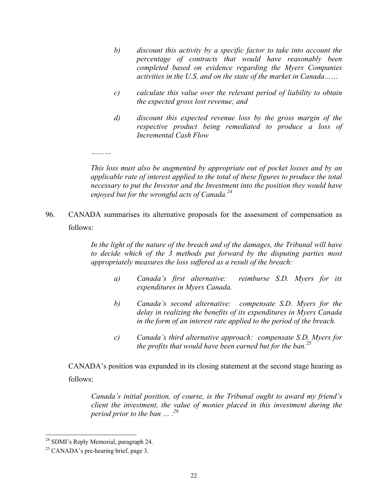- *b) discount this activity by a specific factor to take into account the percentage of contracts that would have reasonably been completed based on evidence regarding the Myers Companies activities in the U.S. and on the state of the market in Canada……*
- *c) calculate this value over the relevant period of liability to obtain the expected gross lost revenue; and*
- *d) discount this expected revenue loss by the gross margin of the respective product being remediated to produce a loss of Incremental Cash Flow*

*This loss must also be augmented by appropriate out of pocket losses and by an applicable rate of interest applied to the total of these figures to produce the total necessary to put the Investor and the Investment into the position they would have enjoyed but for the wrongful acts of Canada.[24](#page-21-0)*

96. CANADA summarises its alternative proposals for the assessment of compensation as follows:

> *In the light of the nature of the breach and of the damages, the Tribunal will have to decide which of the 3 methods put forward by the disputing parties most appropriately measures the loss suffered as a result of the breach:*

- *a) Canada's first alternative: reimburse S.D. Myers for its expenditures in Myers Canada.*
- *b) Canada's second alternative: compensate S.D. Myers for the delay in realizing the benefits of its expenditures in Myers Canada in the form of an interest rate applied to the period of the breach.*
- *c) Canada's third alternative approach: compensate S.D. Myers for the profits that would have been earned but for the ban.*[25](#page-21-1)

CANADA's position was expanded in its closing statement at the second stage hearing as follows:

*Canada's initial position, of course, is the Tribunal ought to award my friend's client the investment, the value of monies placed in this investment during the period prior to the ban … .[26](#page-21-2)*

*………* 

<span id="page-21-2"></span><span id="page-21-0"></span><sup>&</sup>lt;sup>24</sup> SDMI's Reply Memorial, paragraph 24.<br><sup>25</sup> CANADA's pre-hearing brief, page 3.

<span id="page-21-1"></span>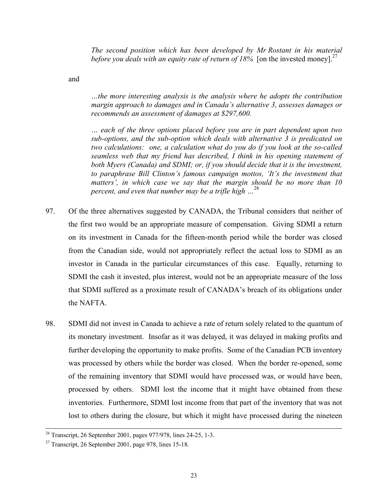*The second position which has been developed by Mr Rostant in his material before you deals with an equity rate of return of 18%* [on the invested money].<sup>[27](#page-22-0)</sup>

and

*…the more interesting analysis is the analysis where he adopts the contribution margin approach to damages and in Canada's alternative 3, assesses damages or recommends an assessment of damages at \$297,600.* 

*… each of the three options placed before you are in part dependent upon two sub-options, and the sub-option which deals with alternative 3 is predicated on two calculations: one, a calculation what do you do if you look at the so-called seamless web that my friend has described, I think in his opening statement of both Myers (Canada) and SDMI; or, if you should decide that it is the investment, to paraphrase Bill Clinton's famous campaign mottos, 'It's the investment that matters', in which case we say that the margin should be no more than 10 percent, and even that number may be a trifle high …*[28](#page-22-1)

- 97. Of the three alternatives suggested by CANADA, the Tribunal considers that neither of the first two would be an appropriate measure of compensation. Giving SDMI a return on its investment in Canada for the fifteen-month period while the border was closed from the Canadian side, would not appropriately reflect the actual loss to SDMI as an investor in Canada in the particular circumstances of this case. Equally, returning to SDMI the cash it invested, plus interest, would not be an appropriate measure of the loss that SDMI suffered as a proximate result of CANADA's breach of its obligations under the NAFTA.
- 98. SDMI did not invest in Canada to achieve a rate of return solely related to the quantum of its monetary investment. Insofar as it was delayed, it was delayed in making profits and further developing the opportunity to make profits. Some of the Canadian PCB inventory was processed by others while the border was closed. When the border re-opened, some of the remaining inventory that SDMI would have processed was, or would have been, processed by others. SDMI lost the income that it might have obtained from these inventories. Furthermore, SDMI lost income from that part of the inventory that was not lost to others during the closure, but which it might have processed during the nineteen

<span id="page-22-1"></span> <sup>26</sup> Transcript, 26 September 2001, pages 977/978, lines 24-25, 1-3.

<span id="page-22-0"></span><sup>&</sup>lt;sup>27</sup> Transcript, 26 September 2001, page 978, lines 15-18.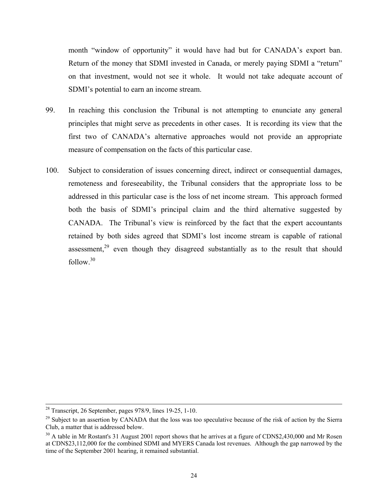month "window of opportunity" it would have had but for CANADA's export ban. Return of the money that SDMI invested in Canada, or merely paying SDMI a "return" on that investment, would not see it whole. It would not take adequate account of SDMI's potential to earn an income stream.

- 99. In reaching this conclusion the Tribunal is not attempting to enunciate any general principles that might serve as precedents in other cases. It is recording its view that the first two of CANADA's alternative approaches would not provide an appropriate measure of compensation on the facts of this particular case.
- 100. Subject to consideration of issues concerning direct, indirect or consequential damages, remoteness and foreseeability, the Tribunal considers that the appropriate loss to be addressed in this particular case is the loss of net income stream. This approach formed both the basis of SDMI's principal claim and the third alternative suggested by CANADA. The Tribunal's view is reinforced by the fact that the expert accountants retained by both sides agreed that SDMI's lost income stream is capable of rational assessment,<sup>29</sup> even though they disagreed substantially as to the result that should follow.[30](#page-23-1)

 $28$  Transcript, 26 September, pages 978/9, lines 19-25, 1-10.

<span id="page-23-0"></span><sup>&</sup>lt;sup>29</sup> Subject to an assertion by CANADA that the loss was too speculative because of the risk of action by the Sierra Club, a matter that is addressed below.

<span id="page-23-1"></span><sup>&</sup>lt;sup>30</sup> A table in Mr Rostant's 31 August 2001 report shows that he arrives at a figure of CDN\$2,430,000 and Mr Rosen at CDN\$23,112,000 for the combined SDMI and MYERS Canada lost revenues. Although the gap narrowed by the time of the September 2001 hearing, it remained substantial.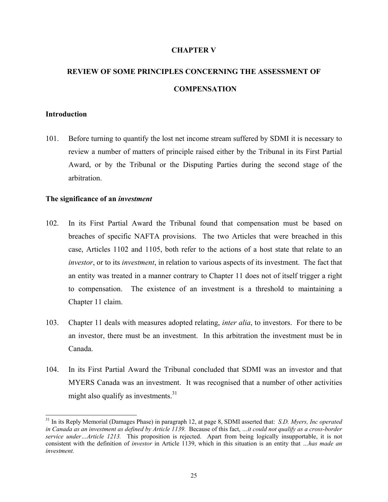# <span id="page-24-0"></span>**CHAPTER V**

# **REVIEW OF SOME PRINCIPLES CONCERNING THE ASSESSMENT OF COMPENSATION**

#### **Introduction**

101. Before turning to quantify the lost net income stream suffered by SDMI it is necessary to review a number of matters of principle raised either by the Tribunal in its First Partial Award, or by the Tribunal or the Disputing Parties during the second stage of the arbitration.

#### **The significance of an** *investment*

- 102. In its First Partial Award the Tribunal found that compensation must be based on breaches of specific NAFTA provisions. The two Articles that were breached in this case, Articles 1102 and 1105, both refer to the actions of a host state that relate to an *investor*, or to its *investment*, in relation to various aspects of its investment. The fact that an entity was treated in a manner contrary to Chapter 11 does not of itself trigger a right to compensation. The existence of an investment is a threshold to maintaining a Chapter 11 claim.
- 103. Chapter 11 deals with measures adopted relating, *inter alia*, to investors. For there to be an investor, there must be an investment. In this arbitration the investment must be in Canada.
- 104. In its First Partial Award the Tribunal concluded that SDMI was an investor and that MYERS Canada was an investment. It was recognised that a number of other activities might also qualify as investments.<sup>[31](#page-24-1)</sup>

<span id="page-24-1"></span> <sup>31</sup> In its Reply Memorial (Damages Phase) in paragraph 12, at page 8, SDMI asserted that: *S.D. Myers, Inc operated in Canada as an investment as defined by Article 1139.* Because of this fact, *…it could not qualify as a cross-border service under…Article 1213.* This proposition is rejected. Apart from being logically insupportable, it is not consistent with the definition of *investor* in Article 1139, which in this situation is an entity that *…has made an investment.*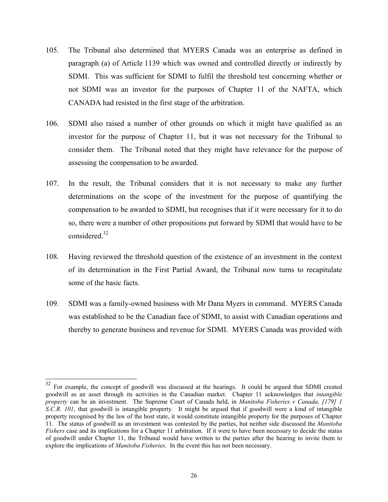- 105. The Tribunal also determined that MYERS Canada was an enterprise as defined in paragraph (a) of Article 1139 which was owned and controlled directly or indirectly by SDMI. This was sufficient for SDMI to fulfil the threshold test concerning whether or not SDMI was an investor for the purposes of Chapter 11 of the NAFTA, which CANADA had resisted in the first stage of the arbitration.
- 106. SDMI also raised a number of other grounds on which it might have qualified as an investor for the purpose of Chapter 11, but it was not necessary for the Tribunal to consider them. The Tribunal noted that they might have relevance for the purpose of assessing the compensation to be awarded.
- 107. In the result, the Tribunal considers that it is not necessary to make any further determinations on the scope of the investment for the purpose of quantifying the compensation to be awarded to SDMI, but recognises that if it were necessary for it to do so, there were a number of other propositions put forward by SDMI that would have to be considered.<sup>32</sup>
- 108. Having reviewed the threshold question of the existence of an investment in the context of its determination in the First Partial Award, the Tribunal now turns to recapitulate some of the basic facts.
- 109. SDMI was a family-owned business with Mr Dana Myers in command. MYERS Canada was established to be the Canadian face of SDMI, to assist with Canadian operations and thereby to generate business and revenue for SDMI. MYERS Canada was provided with

<span id="page-25-0"></span><sup>&</sup>lt;sup>32</sup> For example, the concept of goodwill was discussed at the hearings. It could be argued that SDMI created goodwill as an asset through its activities in the Canadian market. Chapter 11 acknowledges that *intangible property* can be an investment. The Supreme Court of Canada held, in *Manitoba Fisheries v Canada, [179] 1 S.C.R. 101*, that goodwill is intangible property. It might be argued that if goodwill were a kind of intangible property recognised by the law of the host state, it would constitute intangible property for the purposes of Chapter 11. The status of goodwill as an investment was contested by the parties, but neither side discussed the *Manitoba Fishers* case and its implications for a Chapter 11 arbitration. If it were to have been necessary to decide the status of goodwill under Chapter 11, the Tribunal would have written to the parties after the hearing to invite them to explore the implications of *Manitoba Fisheries*. In the event this has not been necessary.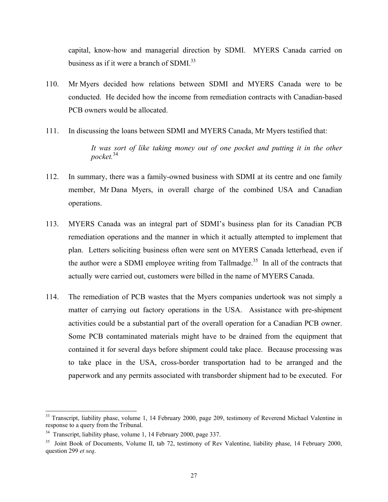capital, know-how and managerial direction by SDMI. MYERS Canada carried on business as if it were a branch of  $SDMI$ <sup>33</sup>

- 110. Mr Myers decided how relations between SDMI and MYERS Canada were to be conducted. He decided how the income from remediation contracts with Canadian-based PCB owners would be allocated.
- 111. In discussing the loans between SDMI and MYERS Canada, Mr Myers testified that: *It was sort of like taking money out of one pocket and putting it in the other pocket.*[34](#page-26-1)
- 112. In summary, there was a family-owned business with SDMI at its centre and one family member, Mr Dana Myers, in overall charge of the combined USA and Canadian operations.
- 113. MYERS Canada was an integral part of SDMI's business plan for its Canadian PCB remediation operations and the manner in which it actually attempted to implement that plan. Letters soliciting business often were sent on MYERS Canada letterhead, even if the author were a SDMI employee writing from Tallmadge.<sup>35</sup> In all of the contracts that actually were carried out, customers were billed in the name of MYERS Canada.
- 114. The remediation of PCB wastes that the Myers companies undertook was not simply a matter of carrying out factory operations in the USA. Assistance with pre-shipment activities could be a substantial part of the overall operation for a Canadian PCB owner. Some PCB contaminated materials might have to be drained from the equipment that contained it for several days before shipment could take place. Because processing was to take place in the USA, cross-border transportation had to be arranged and the paperwork and any permits associated with transborder shipment had to be executed. For

<span id="page-26-0"></span><sup>&</sup>lt;sup>33</sup> Transcript, liability phase, volume 1, 14 February 2000, page 209, testimony of Reverend Michael Valentine in response to a query from the Tribunal.

<span id="page-26-1"></span><sup>&</sup>lt;sup>34</sup> Transcript, liability phase, volume 1, 14 February 2000, page 337.

<span id="page-26-2"></span><sup>&</sup>lt;sup>35</sup> Joint Book of Documents, Volume II, tab 72, testimony of Rev Valentine, liability phase, 14 February 2000, question 299 *et seq*.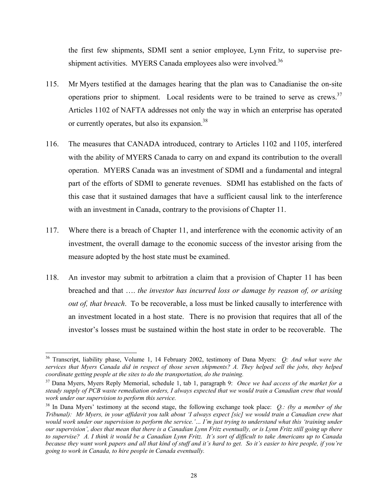the first few shipments, SDMI sent a senior employee, Lynn Fritz, to supervise pre-shipment activities. MYERS Canada employees also were involved.<sup>[36](#page-27-0)</sup>

- 115. Mr Myers testified at the damages hearing that the plan was to Canadianise the on-site operations prior to shipment. Local residents were to be trained to serve as crews.<sup>37</sup> Articles 1102 of NAFTA addresses not only the way in which an enterprise has operated or currently operates, but also its expansion.<sup>38</sup>
- 116. The measures that CANADA introduced, contrary to Articles 1102 and 1105, interfered with the ability of MYERS Canada to carry on and expand its contribution to the overall operation. MYERS Canada was an investment of SDMI and a fundamental and integral part of the efforts of SDMI to generate revenues. SDMI has established on the facts of this case that it sustained damages that have a sufficient causal link to the interference with an investment in Canada, contrary to the provisions of Chapter 11.
- 117. Where there is a breach of Chapter 11, and interference with the economic activity of an investment, the overall damage to the economic success of the investor arising from the measure adopted by the host state must be examined.
- 118. An investor may submit to arbitration a claim that a provision of Chapter 11 has been breached and that …. *the investor has incurred loss or damage by reason of, or arising out of, that breach*. To be recoverable, a loss must be linked causally to interference with an investment located in a host state. There is no provision that requires that all of the investor's losses must be sustained within the host state in order to be recoverable. The

<span id="page-27-0"></span> <sup>36</sup> Transcript, liability phase, Volume 1, 14 February 2002, testimony of Dana Myers: *Q: And what were the services that Myers Canada did in respect of those seven shipments? A. They helped sell the jobs, they helped coordinate getting people at the sites to do the transportation, do the training.*

<span id="page-27-1"></span><sup>37</sup> Dana Myers, Myers Reply Memorial, schedule 1, tab 1, paragraph 9: *Once we had access of the market for a steady supply of PCB waste remediation orders, I always expected that we would train a Canadian crew that would work under our supervision to perform this service.* 38 In Dana Myers' testimony at the second stage, the following exchange took place: *Q.: (by a member of the* 

<span id="page-27-2"></span>*Tribunal): Mr Myers, in your affidavit you talk about 'I always expect [sic] we would train a Canadian crew that* would work under our supervision to perform the service.'... I'm just trying to understand what this 'training under *our supervision', does that mean that there is a Canadian Lynn Fritz eventually, or is Lynn Fritz still going up there to supervise? A. I think it would be a Canadian Lynn Fritz. It's sort of difficult to take Americans up to Canada because they want work papers and all that kind of stuff and it's hard to get. So it's easier to hire people, if you're going to work in Canada, to hire people in Canada eventually.*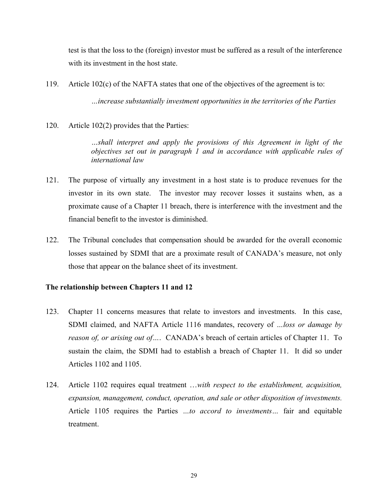test is that the loss to the (foreign) investor must be suffered as a result of the interference with its investment in the host state.

119. Article 102(c) of the NAFTA states that one of the objectives of the agreement is to:

*…increase substantially investment opportunities in the territories of the Parties* 

120. Article 102(2) provides that the Parties:

*…shall interpret and apply the provisions of this Agreement in light of the objectives set out in paragraph 1 and in accordance with applicable rules of international law* 

- 121. The purpose of virtually any investment in a host state is to produce revenues for the investor in its own state. The investor may recover losses it sustains when, as a proximate cause of a Chapter 11 breach, there is interference with the investment and the financial benefit to the investor is diminished.
- 122. The Tribunal concludes that compensation should be awarded for the overall economic losses sustained by SDMI that are a proximate result of CANADA's measure, not only those that appear on the balance sheet of its investment.

# **The relationship between Chapters 11 and 12**

- 123. Chapter 11 concerns measures that relate to investors and investments. In this case, SDMI claimed, and NAFTA Article 1116 mandates, recovery of *…loss or damage by reason of, or arising out of…*. CANADA's breach of certain articles of Chapter 11. To sustain the claim, the SDMI had to establish a breach of Chapter 11. It did so under Articles 1102 and 1105.
- 124. Article 1102 requires equal treatment …*with respect to the establishment, acquisition, expansion, management, conduct, operation, and sale or other disposition of investments.* Article 1105 requires the Parties *…to accord to investments…* fair and equitable treatment.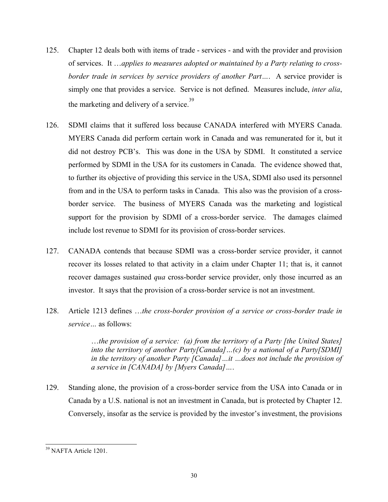- 125. Chapter 12 deals both with items of trade services and with the provider and provision of services. It …*applies to measures adopted or maintained by a Party relating to crossborder trade in services by service providers of another Part…*. A service provider is simply one that provides a service. Service is not defined. Measures include, *inter alia*, the marketing and delivery of a service. [39](#page-29-0)
- 126. SDMI claims that it suffered loss because CANADA interfered with MYERS Canada. MYERS Canada did perform certain work in Canada and was remunerated for it, but it did not destroy PCB's. This was done in the USA by SDMI. It constituted a service performed by SDMI in the USA for its customers in Canada. The evidence showed that, to further its objective of providing this service in the USA, SDMI also used its personnel from and in the USA to perform tasks in Canada. This also was the provision of a crossborder service. The business of MYERS Canada was the marketing and logistical support for the provision by SDMI of a cross-border service. The damages claimed include lost revenue to SDMI for its provision of cross-border services.
- 127. CANADA contends that because SDMI was a cross-border service provider, it cannot recover its losses related to that activity in a claim under Chapter 11; that is, it cannot recover damages sustained *qua* cross-border service provider, only those incurred as an investor. It says that the provision of a cross-border service is not an investment.
- 128. Article 1213 defines …*the cross-border provision of a service or cross-border trade in service…* as follows:

…*the provision of a service: (a) from the territory of a Party [the United States] into the territory of another Party[Canada]…(c) by a national of a Party[SDMI] in the territory of another Party [Canada]…it …does not include the provision of a service in [CANADA] by [Myers Canada]…*.

129. Standing alone, the provision of a cross-border service from the USA into Canada or in Canada by a U.S. national is not an investment in Canada, but is protected by Chapter 12. Conversely, insofar as the service is provided by the investor's investment, the provisions

<span id="page-29-0"></span> <sup>39</sup> NAFTA Article 1201.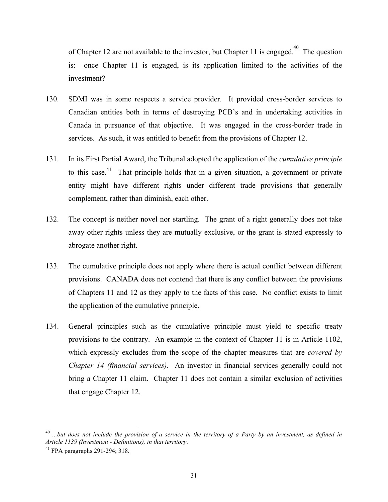ofChapter 12 are not available to the investor, but Chapter 11 is engaged.<sup>40</sup> The question is: once Chapter 11 is engaged, is its application limited to the activities of the investment?

- 130. SDMI was in some respects a service provider. It provided cross-border services to Canadian entities both in terms of destroying PCB's and in undertaking activities in Canada in pursuance of that objective. It was engaged in the cross-border trade in services. As such, it was entitled to benefit from the provisions of Chapter 12.
- 131. In its First Partial Award, the Tribunal adopted the application of the *cumulative principle* to this case.<sup>41</sup> That principle holds that in a given situation, a government or private entity might have different rights under different trade provisions that generally complement, rather than diminish, each other.
- 132. The concept is neither novel nor startling. The grant of a right generally does not take away other rights unless they are mutually exclusive, or the grant is stated expressly to abrogate another right.
- 133. The cumulative principle does not apply where there is actual conflict between different provisions. CANADA does not contend that there is any conflict between the provisions of Chapters 11 and 12 as they apply to the facts of this case. No conflict exists to limit the application of the cumulative principle.
- 134. General principles such as the cumulative principle must yield to specific treaty provisions to the contrary. An example in the context of Chapter 11 is in Article 1102, which expressly excludes from the scope of the chapter measures that are *covered by Chapter 14 (financial services)*. An investor in financial services generally could not bring a Chapter 11 claim. Chapter 11 does not contain a similar exclusion of activities that engage Chapter 12.

<span id="page-30-0"></span> <sup>40</sup> *...but does not include the provision of a service in the territory of a Party by an investment, as defined in Article 1139 (Investment - Definitions), in that territory.*<br><sup>41</sup> FPA paragraphs 291-294: 318.

<span id="page-30-1"></span>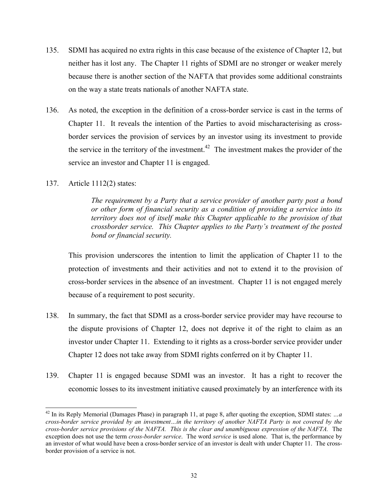- 135. SDMI has acquired no extra rights in this case because of the existence of Chapter 12, but neither has it lost any. The Chapter 11 rights of SDMI are no stronger or weaker merely because there is another section of the NAFTA that provides some additional constraints on the way a state treats nationals of another NAFTA state.
- 136. As noted, the exception in the definition of a cross-border service is cast in the terms of Chapter 11. It reveals the intention of the Parties to avoid mischaracterising as crossborder services the provision of services by an investor using its investment to provide the service in the territory of the investment.<sup>42</sup> The investment makes the provider of the service an investor and Chapter 11 is engaged.
- 137. Article 1112(2) states:

*The requirement by a Party that a service provider of another party post a bond or other form of financial security as a condition of providing a service into its territory does not of itself make this Chapter applicable to the provision of that crossborder service. This Chapter applies to the Party's treatment of the posted bond or financial security.* 

This provision underscores the intention to limit the application of Chapter 11 to the protection of investments and their activities and not to extend it to the provision of cross-border services in the absence of an investment. Chapter 11 is not engaged merely because of a requirement to post security.

- 138. In summary, the fact that SDMI as a cross-border service provider may have recourse to the dispute provisions of Chapter 12, does not deprive it of the right to claim as an investor under Chapter 11. Extending to it rights as a cross-border service provider under Chapter 12 does not take away from SDMI rights conferred on it by Chapter 11.
- 139. Chapter 11 is engaged because SDMI was an investor. It has a right to recover the economic losses to its investment initiative caused proximately by an interference with its

<span id="page-31-0"></span><sup>&</sup>lt;sup>42</sup> In its Reply Memorial (Damages Phase) in paragraph 11, at page 8, after quoting the exception, SDMI states: ...a *cross-border service provided by an investment…in the territory of another NAFTA Party is not covered by the cross-border service provisions of the NAFTA. This is the clear and unambiguous expression of the NAFTA.* The exception does not use the term *cross-border service*. The word *service* is used alone. That is, the performance by an investor of what would have been a cross-border service of an investor is dealt with under Chapter 11. The crossborder provision of a service is not.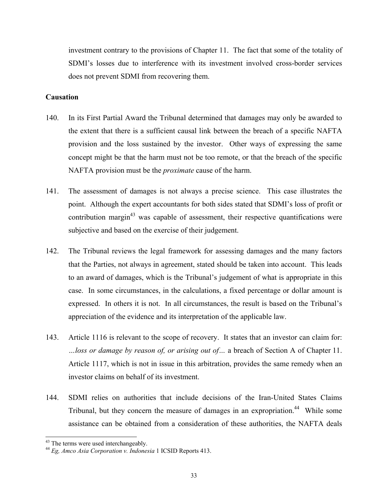investment contrary to the provisions of Chapter 11. The fact that some of the totality of SDMI's losses due to interference with its investment involved cross-border services does not prevent SDMI from recovering them.

## **Causation**

- 140. In its First Partial Award the Tribunal determined that damages may only be awarded to the extent that there is a sufficient causal link between the breach of a specific NAFTA provision and the loss sustained by the investor. Other ways of expressing the same concept might be that the harm must not be too remote, or that the breach of the specific NAFTA provision must be the *proximate* cause of the harm.
- 141. The assessment of damages is not always a precise science. This case illustrates the point. Although the expert accountants for both sides stated that SDMI's loss of profit or contribution margin<sup>43</sup> was capable of assessment, their respective quantifications were subjective and based on the exercise of their judgement.
- 142. The Tribunal reviews the legal framework for assessing damages and the many factors that the Parties, not always in agreement, stated should be taken into account. This leads to an award of damages, which is the Tribunal's judgement of what is appropriate in this case. In some circumstances, in the calculations, a fixed percentage or dollar amount is expressed. In others it is not. In all circumstances, the result is based on the Tribunal's appreciation of the evidence and its interpretation of the applicable law.
- 143. Article 1116 is relevant to the scope of recovery. It states that an investor can claim for: *…loss or damage by reason of, or arising out of…* a breach of Section A of Chapter 11. Article 1117, which is not in issue in this arbitration, provides the same remedy when an investor claims on behalf of its investment.
- 144. SDMI relies on authorities that include decisions of the Iran-United States Claims Tribunal, but they concern the measure of damages in an expropriation.<sup>44</sup> While some assistance can be obtained from a consideration of these authorities, the NAFTA deals

<span id="page-32-1"></span><span id="page-32-0"></span>

 <sup>43</sup> The terms were used interchangeably. <sup>44</sup> *Eg, Amco Asia Corporation v. Indonesia* 1 ICSID Reports 413.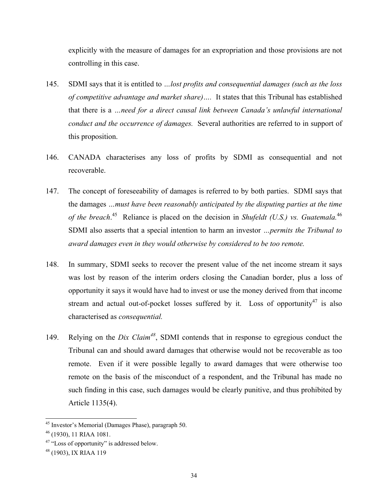explicitly with the measure of damages for an expropriation and those provisions are not controlling in this case.

- 145. SDMI says that it is entitled to *…lost profits and consequential damages (such as the loss of competitive advantage and market share)….* It states that this Tribunal has established that there is a *…need for a direct causal link between Canada's unlawful international conduct and the occurrence of damages.* Several authorities are referred to in support of this proposition.
- 146. CANADA characterises any loss of profits by SDMI as consequential and not recoverable.
- 147. The concept of foreseeability of damages is referred to by both parties. SDMI says that the damages *…must have been reasonably anticipated by the disputing parties at the time of the breach*. [45](#page-33-0) Reliance is placed on the decision in *Shufeldt (U.S.) vs. Guatemala.*[46](#page-33-1)  SDMI also asserts that a special intention to harm an investor *…permits the Tribunal to award damages even in they would otherwise by considered to be too remote.*
- 148. In summary, SDMI seeks to recover the present value of the net income stream it says was lost by reason of the interim orders closing the Canadian border, plus a loss of opportunity it says it would have had to invest or use the money derived from that income stream and actual out-of-pocket losses suffered by it. Loss of opportunity<sup>47</sup> is also characterised as *consequential.*
- 149. Relying on the *Dix Claim[48](#page-33-3)*, SDMI contends that in response to egregious conduct the Tribunal can and should award damages that otherwise would not be recoverable as too remote. Even if it were possible legally to award damages that were otherwise too remote on the basis of the misconduct of a respondent, and the Tribunal has made no such finding in this case, such damages would be clearly punitive, and thus prohibited by Article 1135(4).

<span id="page-33-0"></span> <sup>45</sup> Investor's Memorial (Damages Phase), paragraph 50.

<span id="page-33-1"></span><sup>46 (1930), 11</sup> RIAA 1081.

<span id="page-33-2"></span><sup>&</sup>lt;sup>47</sup> "Loss of opportunity" is addressed below.<br><sup>48</sup> (1903), IX RIAA 119

<span id="page-33-3"></span>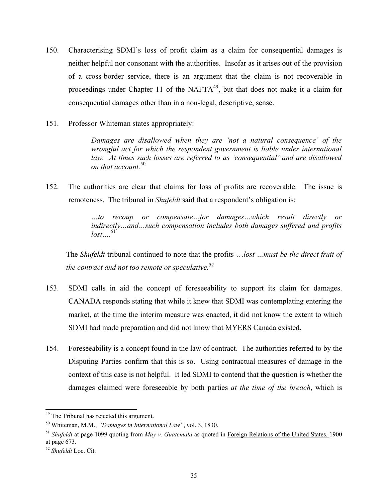- 150. Characterising SDMI's loss of profit claim as a claim for consequential damages is neither helpful nor consonant with the authorities. Insofar as it arises out of the provision of a cross-border service, there is an argument that the claim is not recoverable in proceedings under Chapter 11 of the NAFT $A^{49}$ , but that does not make it a claim for consequential damages other than in a non-legal, descriptive, sense.
- 151. Professor Whiteman states appropriately:

*Damages are disallowed when they are 'not a natural consequence' of the wrongful act for which the respondent government is liable under international law. At times such losses are referred to as 'consequential' and are disallowed on that account.*[50](#page-34-1)

152. The authorities are clear that claims for loss of profits are recoverable. The issue is remoteness. The tribunal in *Shufeldt* said that a respondent's obligation is:

> *…to recoup or compensate…for damages…which result directly or indirectly…and…such compensation includes both damages suffered and profits*   $lost....$ <sup>[51](#page-34-2)</sup>

The *Shufeldt* tribunal continued to note that the profits …*lost …must be the direct fruit of the contract and not too remote or speculative.*[52](#page-34-3)

- 153. SDMI calls in aid the concept of foreseeability to support its claim for damages. CANADA responds stating that while it knew that SDMI was contemplating entering the market, at the time the interim measure was enacted, it did not know the extent to which SDMI had made preparation and did not know that MYERS Canada existed.
- 154. Foreseeability is a concept found in the law of contract. The authorities referred to by the Disputing Parties confirm that this is so. Using contractual measures of damage in the context of this case is not helpful. It led SDMI to contend that the question is whether the damages claimed were foreseeable by both parties *at the time of the breach*, which is

<span id="page-34-1"></span><span id="page-34-0"></span>

 <sup>49</sup> The Tribunal has rejected this argument. 50 Whiteman, M.M., *"Damages in International Law"*, vol. 3, 1830.

<span id="page-34-2"></span><sup>51</sup> *Shufeldt* at page 1099 quoting from *May v. Guatemala* as quoted in Foreign Relations of the United States, 1900 at page 673. 52 *Shufeldt* Loc. Cit.

<span id="page-34-3"></span>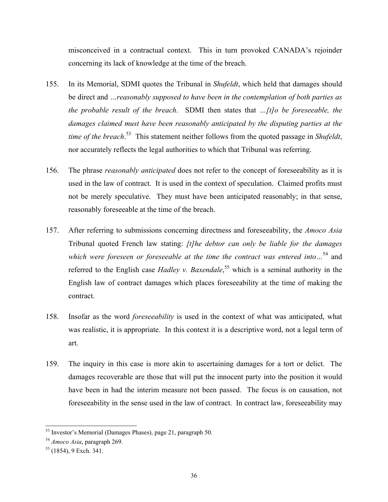misconceived in a contractual context. This in turn provoked CANADA's rejoinder concerning its lack of knowledge at the time of the breach.

- 155. In its Memorial, SDMI quotes the Tribunal in *Shufeldt*, which held that damages should be direct and *…reasonably supposed to have been in the contemplation of both parties as the probable result of the breach*. SDMI then states that *…[t]o be foreseeable, the damages claimed must have been reasonably anticipated by the disputing parties at the time of the breach*. [53](#page-35-0) This statement neither follows from the quoted passage in *Shufeldt*, nor accurately reflects the legal authorities to which that Tribunal was referring.
- 156. The phrase *reasonably anticipated* does not refer to the concept of foreseeability as it is used in the law of contract. It is used in the context of speculation. Claimed profits must not be merely speculative. They must have been anticipated reasonably; in that sense, reasonably foreseeable at the time of the breach.
- 157. After referring to submissions concerning directness and foreseeability, the *Amoco Asia* Tribunal quoted French law stating: *[t]he debtor can only be liable for the damages which were foreseen or foreseeable at the time the contract was entered into…*[54](#page-35-1) and referred to the English case *Hadley v. Baxendale*, [55](#page-35-2) which is a seminal authority in the English law of contract damages which places foreseeability at the time of making the contract.
- 158. Insofar as the word *foreseeability* is used in the context of what was anticipated, what was realistic, it is appropriate. In this context it is a descriptive word, not a legal term of art.
- 159. The inquiry in this case is more akin to ascertaining damages for a tort or delict. The damages recoverable are those that will put the innocent party into the position it would have been in had the interim measure not been passed. The focus is on causation, not foreseeability in the sense used in the law of contract. In contract law, foreseeability may

<span id="page-35-0"></span> <sup>53</sup> Investor's Memorial (Damages Phases), page 21, paragraph 50. 54 *Amoco Asia*, paragraph 269. 55 (1854), 9 Exch. 341.

<span id="page-35-1"></span>

<span id="page-35-2"></span>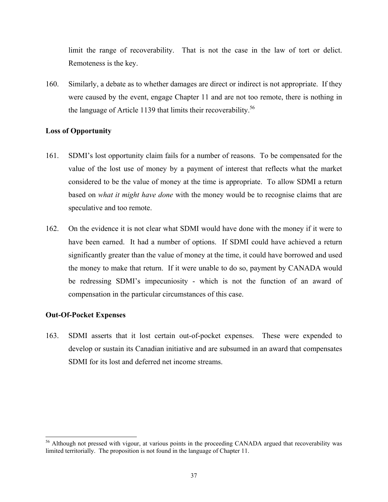limit the range of recoverability. That is not the case in the law of tort or delict. Remoteness is the key.

160. Similarly, a debate as to whether damages are direct or indirect is not appropriate. If they were caused by the event, engage Chapter 11 and are not too remote, there is nothing in the language of Article 1139 that limits their recoverability.<sup>[56](#page-36-0)</sup>

## **Loss of Opportunity**

- 161. SDMI's lost opportunity claim fails for a number of reasons. To be compensated for the value of the lost use of money by a payment of interest that reflects what the market considered to be the value of money at the time is appropriate. To allow SDMI a return based on *what it might have done* with the money would be to recognise claims that are speculative and too remote.
- 162. On the evidence it is not clear what SDMI would have done with the money if it were to have been earned. It had a number of options. If SDMI could have achieved a return significantly greater than the value of money at the time, it could have borrowed and used the money to make that return. If it were unable to do so, payment by CANADA would be redressing SDMI's impecuniosity - which is not the function of an award of compensation in the particular circumstances of this case.

## **Out-Of-Pocket Expenses**

163. SDMI asserts that it lost certain out-of-pocket expenses. These were expended to develop or sustain its Canadian initiative and are subsumed in an award that compensates SDMI for its lost and deferred net income streams.

<span id="page-36-0"></span><sup>&</sup>lt;sup>56</sup> Although not pressed with vigour, at various points in the proceeding CANADA argued that recoverability was limited territorially. The proposition is not found in the language of Chapter 11.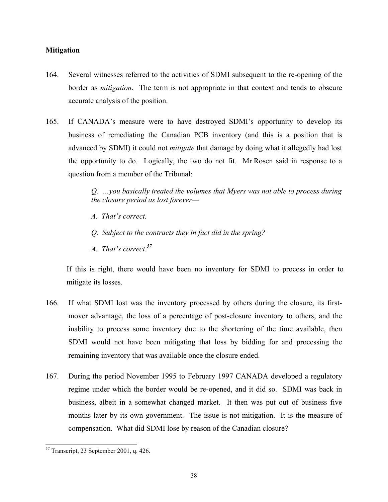## **Mitigation**

- 164. Several witnesses referred to the activities of SDMI subsequent to the re-opening of the border as *mitigation*. The term is not appropriate in that context and tends to obscure accurate analysis of the position.
- 165. If CANADA's measure were to have destroyed SDMI's opportunity to develop its business of remediating the Canadian PCB inventory (and this is a position that is advanced by SDMI) it could not *mitigate* that damage by doing what it allegedly had lost the opportunity to do.Logically, the two do not fit. Mr Rosen said in response to a question from a member of the Tribunal:

*Q. …you basically treated the volumes that Myers was not able to process during the closure period as lost forever—* 

- *A. That's correct.*
- *Q. Subject to the contracts they in fact did in the spring?*
- *A. That's correct*. *[57](#page-37-0)*

If this is right, there would have been no inventory for SDMI to process in order to mitigate its losses.

- 166. If what SDMI lost was the inventory processed by others during the closure, its firstmover advantage, the loss of a percentage of post-closure inventory to others, and the inability to process some inventory due to the shortening of the time available, then SDMI would not have been mitigating that loss by bidding for and processing the remaining inventory that was available once the closure ended.
- 167. During the period November 1995 to February 1997 CANADA developed a regulatory regime under which the border would be re-opened, and it did so. SDMI was back in business, albeit in a somewhat changed market. It then was put out of business five months later by its own government. The issue is not mitigation. It is the measure of compensation. What did SDMI lose by reason of the Canadian closure?

<span id="page-37-0"></span> <sup>57</sup> Transcript, 23 September 2001, q. 426.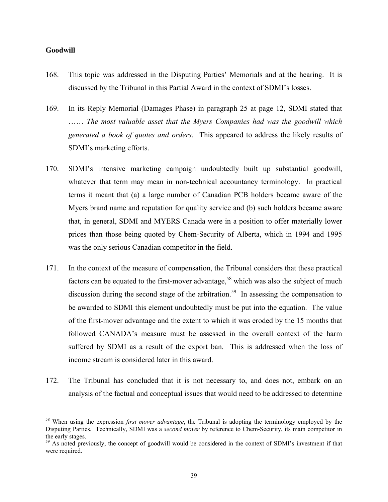#### **Goodwill**

- 168. This topic was addressed in the Disputing Parties' Memorials and at the hearing. It is discussed by the Tribunal in this Partial Award in the context of SDMI's losses.
- 169. In its Reply Memorial (Damages Phase) in paragraph 25 at page 12, SDMI stated that …… *The most valuable asset that the Myers Companies had was the goodwill which generated a book of quotes and orders*. This appeared to address the likely results of SDMI's marketing efforts.
- 170. SDMI's intensive marketing campaign undoubtedly built up substantial goodwill, whatever that term may mean in non-technical accountancy terminology. In practical terms it meant that (a) a large number of Canadian PCB holders became aware of the Myers brand name and reputation for quality service and (b) such holders became aware that, in general, SDMI and MYERS Canada were in a position to offer materially lower prices than those being quoted by Chem-Security of Alberta, which in 1994 and 1995 was the only serious Canadian competitor in the field.
- 171. In the context of the measure of compensation, the Tribunal considers that these practical factors can be equated to the first-mover advantage,<sup>58</sup> which was also the subject of much discussion during the second stage of the arbitration.<sup>59</sup> In assessing the compensation to be awarded to SDMI this element undoubtedly must be put into the equation. The value of the first-mover advantage and the extent to which it was eroded by the 15 months that followed CANADA's measure must be assessed in the overall context of the harm suffered by SDMI as a result of the export ban. This is addressed when the loss of income stream is considered later in this award.
- 172. The Tribunal has concluded that it is not necessary to, and does not, embark on an analysis of the factual and conceptual issues that would need to be addressed to determine

<span id="page-38-0"></span> <sup>58</sup> When using the expression *first mover advantage*, the Tribunal is adopting the terminology employed by the Disputing Parties. Technically, SDMI was a *second mover* by reference to Chem-Security, its main competitor in the early stages.<br><sup>59</sup> As noted previously, the concept of goodwill would be considered in the context of SDMI's investment if that

<span id="page-38-1"></span>were required.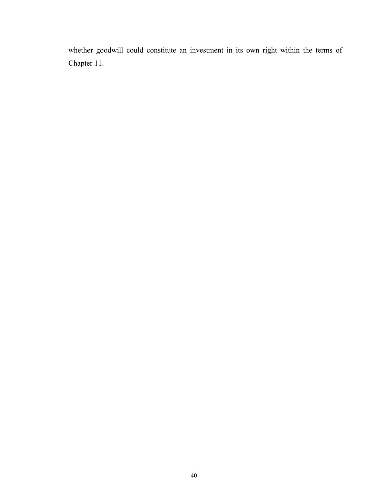whether goodwill could constitute an investment in its own right within the terms of Chapter 11.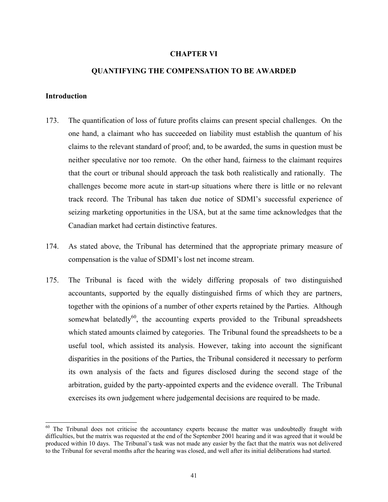#### **CHAPTER VI**

#### **QUANTIFYING THE COMPENSATION TO BE AWARDED**

#### **Introduction**

- 173. The quantification of loss of future profits claims can present special challenges. On the one hand, a claimant who has succeeded on liability must establish the quantum of his claims to the relevant standard of proof; and, to be awarded, the sums in question must be neither speculative nor too remote. On the other hand, fairness to the claimant requires that the court or tribunal should approach the task both realistically and rationally. The challenges become more acute in start-up situations where there is little or no relevant track record. The Tribunal has taken due notice of SDMI's successful experience of seizing marketing opportunities in the USA, but at the same time acknowledges that the Canadian market had certain distinctive features.
- 174. As stated above, the Tribunal has determined that the appropriate primary measure of compensation is the value of SDMI's lost net income stream.
- 175. The Tribunal is faced with the widely differing proposals of two distinguished accountants, supported by the equally distinguished firms of which they are partners, together with the opinions of a number of other experts retained by the Parties. Although somewhat belatedly $^{60}$ , the accounting experts provided to the Tribunal spreadsheets which stated amounts claimed by categories. The Tribunal found the spreadsheets to be a useful tool, which assisted its analysis. However, taking into account the significant disparities in the positions of the Parties, the Tribunal considered it necessary to perform its own analysis of the facts and figures disclosed during the second stage of the arbitration, guided by the party-appointed experts and the evidence overall. The Tribunal exercises its own judgement where judgemental decisions are required to be made.

<span id="page-40-0"></span><sup>&</sup>lt;sup>60</sup> The Tribunal does not criticise the accountancy experts because the matter was undoubtedly fraught with difficulties, but the matrix was requested at the end of the September 2001 hearing and it was agreed that it would be produced within 10 days. The Tribunal's task was not made any easier by the fact that the matrix was not delivered to the Tribunal for several months after the hearing was closed, and well after its initial deliberations had started.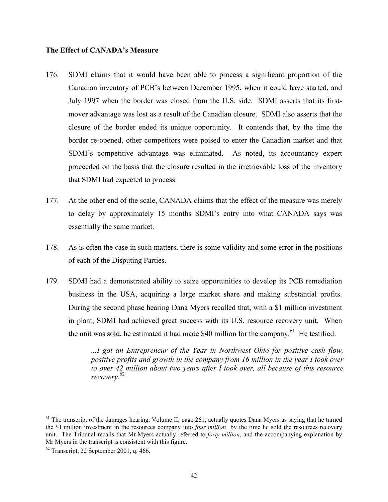#### **The Effect of CANADA's Measure**

- 176. SDMI claims that it would have been able to process a significant proportion of the Canadian inventory of PCB's between December 1995, when it could have started, and July 1997 when the border was closed from the U.S. side. SDMI asserts that its firstmover advantage was lost as a result of the Canadian closure. SDMI also asserts that the closure of the border ended its unique opportunity. It contends that, by the time the border re-opened, other competitors were poised to enter the Canadian market and that SDMI's competitive advantage was eliminated. As noted, its accountancy expert proceeded on the basis that the closure resulted in the irretrievable loss of the inventory that SDMI had expected to process.
- 177. At the other end of the scale, CANADA claims that the effect of the measure was merely to delay by approximately 15 months SDMI's entry into what CANADA says was essentially the same market.
- 178. As is often the case in such matters, there is some validity and some error in the positions of each of the Disputing Parties.
- 179. SDMI had a demonstrated ability to seize opportunities to develop its PCB remediation business in the USA, acquiring a large market share and making substantial profits. During the second phase hearing Dana Myers recalled that, with a \$1 million investment in plant, SDMI had achieved great success with its U.S. resource recovery unit. When the unit was sold, he estimated it had made \$40 million for the company.<sup>61</sup> He testified:

*...I got an Entrepreneur of the Year in Northwest Ohio for positive cash flow, positive profits and growth in the company from 16 million in the year I took over to over 42 million about two years after I took over, all because of this resource recovery*. [62](#page-41-1)

<span id="page-41-0"></span> $<sup>61</sup>$  The transcript of the damages hearing, Volume II, page 261, actually quotes Dana Myers as saying that he turned</sup> the \$1 million investment in the resources company into *four million* by the time he sold the resources recovery unit. The Tribunal recalls that Mr Myers actually referred to *forty million*, and the accompanying explanation by Mr Myers in the transcript is consistent with this figure.<br><sup>62</sup> Transcript, 22 September 2001, q. 466.

<span id="page-41-1"></span>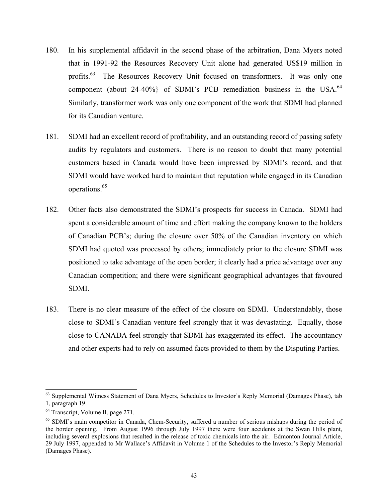- 180. In his supplemental affidavit in the second phase of the arbitration, Dana Myers noted that in 1991-92 the Resources Recovery Unit alone had generated US\$19 million in profits.<sup>63</sup> The Resources Recovery Unit focused on transformers. It was only one component (about 24-40%) of SDMI's PCB remediation business in the USA. $^{64}$ Similarly, transformer work was only one component of the work that SDMI had planned for its Canadian venture.
- 181. SDMI had an excellent record of profitability, and an outstanding record of passing safety audits by regulators and customers. There is no reason to doubt that many potential customers based in Canada would have been impressed by SDMI's record, and that SDMI would have worked hard to maintain that reputation while engaged in its Canadian operations[.65](#page-42-2)
- 182. Other facts also demonstrated the SDMI's prospects for success in Canada. SDMI had spent a considerable amount of time and effort making the company known to the holders of Canadian PCB's; during the closure over 50% of the Canadian inventory on which SDMI had quoted was processed by others; immediately prior to the closure SDMI was positioned to take advantage of the open border; it clearly had a price advantage over any Canadian competition; and there were significant geographical advantages that favoured SDMI.
- 183. There is no clear measure of the effect of the closure on SDMI. Understandably, those close to SDMI's Canadian venture feel strongly that it was devastating. Equally, those close to CANADA feel strongly that SDMI has exaggerated its effect. The accountancy and other experts had to rely on assumed facts provided to them by the Disputing Parties.

<span id="page-42-0"></span><sup>&</sup>lt;sup>63</sup> Supplemental Witness Statement of Dana Myers, Schedules to Investor's Reply Memorial (Damages Phase), tab 1, paragraph 19.<br><sup>64</sup> Transcript, Volume II, page 271.

<span id="page-42-1"></span>

<span id="page-42-2"></span><sup>&</sup>lt;sup>65</sup> SDMI's main competitor in Canada, Chem-Security, suffered a number of serious mishaps during the period of the border opening. From August 1996 through July 1997 there were four accidents at the Swan Hills plant, including several explosions that resulted in the release of toxic chemicals into the air. Edmonton Journal Article, 29 July 1997, appended to Mr Wallace's Affidavit in Volume 1 of the Schedules to the Investor's Reply Memorial (Damages Phase).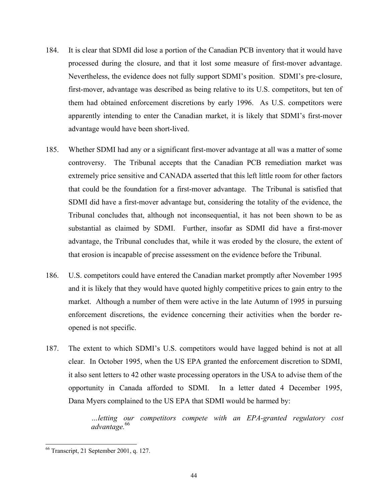- 184. It is clear that SDMI did lose a portion of the Canadian PCB inventory that it would have processed during the closure, and that it lost some measure of first-mover advantage. Nevertheless, the evidence does not fully support SDMI's position. SDMI's pre-closure, first-mover, advantage was described as being relative to its U.S. competitors, but ten of them had obtained enforcement discretions by early 1996. As U.S. competitors were apparently intending to enter the Canadian market, it is likely that SDMI's first-mover advantage would have been short-lived.
- 185. Whether SDMI had any or a significant first-mover advantage at all was a matter of some controversy. The Tribunal accepts that the Canadian PCB remediation market was extremely price sensitive and CANADA asserted that this left little room for other factors that could be the foundation for a first-mover advantage. The Tribunal is satisfied that SDMI did have a first-mover advantage but, considering the totality of the evidence, the Tribunal concludes that, although not inconsequential, it has not been shown to be as substantial as claimed by SDMI. Further, insofar as SDMI did have a first-mover advantage, the Tribunal concludes that, while it was eroded by the closure, the extent of that erosion is incapable of precise assessment on the evidence before the Tribunal.
- 186. U.S. competitors could have entered the Canadian market promptly after November 1995 and it is likely that they would have quoted highly competitive prices to gain entry to the market. Although a number of them were active in the late Autumn of 1995 in pursuing enforcement discretions, the evidence concerning their activities when the border reopened is not specific.
- 187. The extent to which SDMI's U.S. competitors would have lagged behind is not at all clear. In October 1995, when the US EPA granted the enforcement discretion to SDMI, it also sent letters to 42 other waste processing operators in the USA to advise them of the opportunity in Canada afforded to SDMI. In a letter dated 4 December 1995, Dana Myers complained to the US EPA that SDMI would be harmed by:

*…letting our competitors compete with an EPA-granted regulatory cost advantage.*[66](#page-43-0) 

<span id="page-43-0"></span> <sup>66</sup> Transcript, 21 September 2001, q. 127.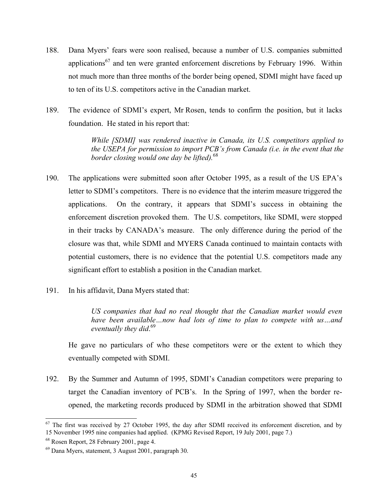- 188. Dana Myers' fears were soon realised, because a number of U.S. companies submitted applications<sup>67</sup> and ten were granted enforcement discretions by February 1996. Within not much more than three months of the border being opened, SDMI might have faced up to ten of its U.S. competitors active in the Canadian market.
- 189. The evidence of SDMI's expert, Mr Rosen, tends to confirm the position, but it lacks foundation. He stated in his report that:

*While [SDMI] was rendered inactive in Canada, its U.S. competitors applied to the USEPA for permission to import PCB's from Canada (i.e. in the event that the border closing would one day be lifted).* [68](#page-44-1)

- 190. The applications were submitted soon after October 1995, as a result of the US EPA's letter to SDMI's competitors. There is no evidence that the interim measure triggered the applications. On the contrary, it appears that SDMI's success in obtaining the enforcement discretion provoked them. The U.S. competitors, like SDMI, were stopped in their tracks by CANADA's measure. The only difference during the period of the closure was that, while SDMI and MYERS Canada continued to maintain contacts with potential customers, there is no evidence that the potential U.S. competitors made any significant effort to establish a position in the Canadian market.
- 191. In his affidavit, Dana Myers stated that:

*US companies that had no real thought that the Canadian market would even have been available…now had lots of time to plan to compete with us…and eventually they did*. [69](#page-44-2)

He gave no particulars of who these competitors were or the extent to which they eventually competed with SDMI.

192. By the Summer and Autumn of 1995, SDMI's Canadian competitors were preparing to target the Canadian inventory of PCB's. In the Spring of 1997, when the border reopened, the marketing records produced by SDMI in the arbitration showed that SDMI

<span id="page-44-0"></span> $67$  The first was received by 27 October 1995, the day after SDMI received its enforcement discretion, and by 15 November 1995 nine companies had applied. (KPMG Revised Report, 19 July 2001, page 7.)

<span id="page-44-2"></span><span id="page-44-1"></span>

<sup>&</sup>lt;sup>68</sup> Rosen Report, 28 February 2001, page 4.<br><sup>69</sup> Dana Myers, statement, 3 August 2001, paragraph 30.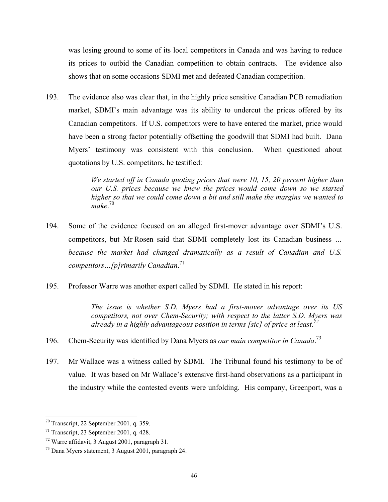was losing ground to some of its local competitors in Canada and was having to reduce its prices to outbid the Canadian competition to obtain contracts. The evidence also shows that on some occasions SDMI met and defeated Canadian competition.

193. The evidence also was clear that, in the highly price sensitive Canadian PCB remediation market, SDMI's main advantage was its ability to undercut the prices offered by its Canadian competitors. If U.S. competitors were to have entered the market, price would have been a strong factor potentially offsetting the goodwill that SDMI had built. Dana Myers' testimony was consistent with this conclusion. When questioned about quotations by U.S. competitors, he testified:

> *We started off in Canada quoting prices that were 10, 15, 20 percent higher than our U.S. prices because we knew the prices would come down so we started higher so that we could come down a bit and still make the margins we wanted to make*. [70](#page-45-0)

- 194. Some of the evidence focused on an alleged first-mover advantage over SDMI's U.S. competitors, but Mr Rosen said that SDMI completely lost its Canadian business *… because the market had changed dramatically as a result of Canadian and U.S. competitors…[p]rimarily Canadian*. [71](#page-45-1)
- 195. Professor Warre was another expert called by SDMI. He stated in his report:

*The issue is whether S.D. Myers had a first-mover advantage over its US competitors, not over Chem-Security; with respect to the latter S.D. Myers was already in a highly advantageous position in terms [sic] of price at least*. *[72](#page-45-2)*

- 196. Chem-Security was identified by Dana Myers as *our main competitor in Canada*. [73](#page-45-3)
- 197. Mr Wallace was a witness called by SDMI. The Tribunal found his testimony to be of value. It was based on Mr Wallace's extensive first-hand observations as a participant in the industry while the contested events were unfolding. His company, Greenport, was a

<span id="page-45-0"></span> $70$  Transcript, 22 September 2001, q. 359.

<span id="page-45-2"></span><span id="page-45-1"></span>

<sup>&</sup>lt;sup>71</sup> Transcript, 23 September 2001, q. 428.<br><sup>72</sup> Warre affidavit, 3 August 2001, paragraph 31.<br><sup>73</sup> Dana Myers statement, 3 August 2001, paragraph 24.

<span id="page-45-3"></span>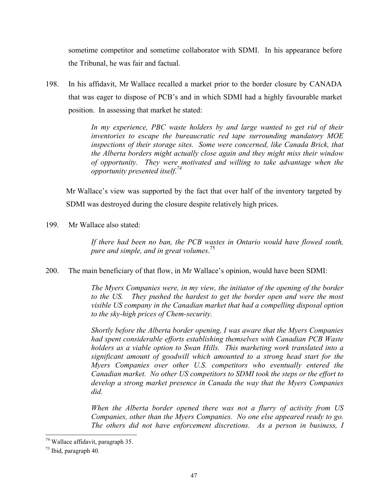sometime competitor and sometime collaborator with SDMI. In his appearance before the Tribunal, he was fair and factual.

198. In his affidavit, Mr Wallace recalled a market prior to the border closure by CANADA that was eager to dispose of PCB's and in which SDMI had a highly favourable market position. In assessing that market he stated:

> *In my experience, PBC waste holders by and large wanted to get rid of their inventories to escape the bureaucratic red tape surrounding mandatory MOE inspections of their storage sites. Some were concerned, like Canada Brick, that the Alberta borders might actually close again and they might miss their window of opportunity. They were motivated and willing to take advantage when the opportunity presented itself*. *[74](#page-46-0)*

Mr Wallace's view was supported by the fact that over half of the inventory targeted by SDMI was destroyed during the closure despite relatively high prices.

199. Mr Wallace also stated:

*If there had been no ban, the PCB wastes in Ontario would have flowed south, pure and simple, and in great volumes*. [75](#page-46-1)

200. The main beneficiary of that flow, in Mr Wallace's opinion, would have been SDMI:

*The Myers Companies were, in my view, the initiator of the opening of the border to the US. They pushed the hardest to get the border open and were the most visible US company in the Canadian market that had a compelling disposal option to the sky-high prices of Chem-security.* 

*Shortly before the Alberta border opening, I was aware that the Myers Companies had spent considerable efforts establishing themselves with Canadian PCB Waste holders as a viable option to Swan Hills. This marketing work translated into a significant amount of goodwill which amounted to a strong head start for the Myers Companies over other U.S. competitors who eventually entered the Canadian market. No other US competitors to SDMI took the steps or the effort to develop a strong market presence in Canada the way that the Myers Companies did.* 

*When the Alberta border opened there was not a flurry of activity from US Companies, other than the Myers Companies. No one else appeared ready to go. The others did not have enforcement discretions. As a person in business, I* 

<span id="page-46-0"></span><sup>&</sup>lt;sup>74</sup> Wallace affidavit, paragraph 35.<br><sup>75</sup> Ibid, paragraph 40.

<span id="page-46-1"></span>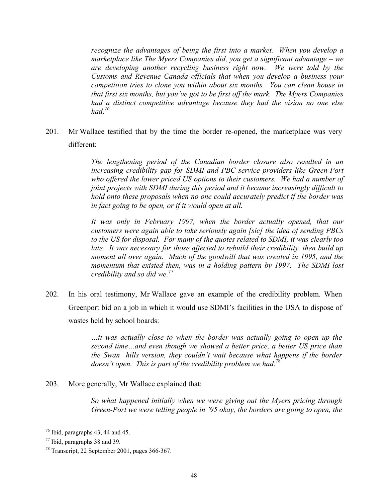*recognize the advantages of being the first into a market. When you develop a marketplace like The Myers Companies did, you get a significant advantage – we are developing another recycling business right now. We were told by the Customs and Revenue Canada officials that when you develop a business your competition tries to clone you within about six months. You can clean house in that first six months, but you've got to be first off the mark. The Myers Companies had a distinct competitive advantage because they had the vision no one else had*. *[76](#page-47-0)*

201. Mr Wallace testified that by the time the border re-opened, the marketplace was very different:

> *The lengthening period of the Canadian border closure also resulted in an increasing credibility gap for SDMI and PBC service providers like Green-Port who offered the lower priced US options to their customers. We had a number of joint projects with SDMI during this period and it became increasingly difficult to hold onto these proposals when no one could accurately predict if the border was in fact going to be open, or if it would open at all.*

> *It was only in February 1997, when the border actually opened, that our customers were again able to take seriously again [sic] the idea of sending PBCs to the US for disposal. For many of the quotes related to SDMI, it was clearly too late. It was necessary for those affected to rebuild their credibility, then build up moment all over again. Much of the goodwill that was created in 1995, and the momentum that existed then, was in a holding pattern by 1997. The SDMI lost credibility and so did we.*[77](#page-47-1)

202. In his oral testimony, Mr Wallace gave an example of the credibility problem. When Greenport bid on a job in which it would use SDMI's facilities in the USA to dispose of wastes held by school boards:

> *…it was actually close to when the border was actually going to open up the second time…and even though we showed a better price, a better US price than the Swan hills version, they couldn't wait because what happens if the border doesn't open. This is part of the credibility problem we had.*[78](#page-47-2)

203. More generally, Mr Wallace explained that:

*So what happened initially when we were giving out the Myers pricing through Green-Port we were telling people in '95 okay, the borders are going to open, the* 

<span id="page-47-0"></span>

<span id="page-47-2"></span><span id="page-47-1"></span>

<sup>&</sup>lt;sup>76</sup> Ibid, paragraphs 43, 44 and 45.<br><sup>77</sup> Ibid, paragraphs 38 and 39.<br><sup>78</sup> Transcript, 22 September 2001, pages 366-367.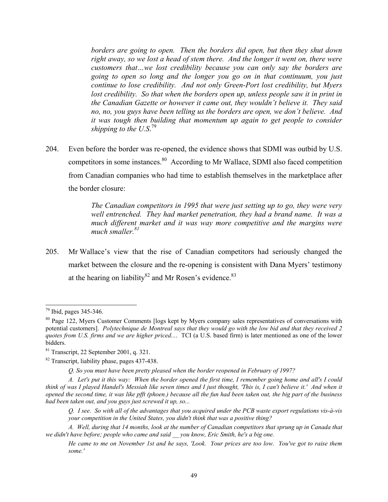*borders are going to open. Then the borders did open, but then they shut down right away, so we lost a head of stem there. And the longer it went on, there were customers that…we lost credibility because you can only say the borders are going to open so long and the longer you go on in that continuum, you just continue to lose credibility. And not only Green-Port lost credibility, but Myers* lost credibility. So that when the borders open up, unless people saw it in print in *the Canadian Gazette or however it came out, they wouldn't believe it. They said no, no, you guys have been telling us the borders are open, we don't believe. And it was tough then building that momentum up again to get people to consider shipping to the U.S*. [79](#page-48-0)

204. Even before the border was re-opened, the evidence shows that SDMI was outbid by U.S. competitors in some instances.<sup>80</sup> According to Mr Wallace, SDMI also faced competition from Canadian companies who had time to establish themselves in the marketplace after the border closure:

> *The Canadian competitors in 1995 that were just setting up to go, they were very well entrenched. They had market penetration, they had a brand name. It was a much different market and it was way more competitive and the margins were much smaller.[81](#page-48-2)*

205. Mr Wallace's view that the rise of Canadian competitors had seriously changed the market between the closure and the re-opening is consistent with Dana Myers' testimony at the hearing on liability $82$  and Mr Rosen's evidence.<sup>[83](#page-48-4)</sup>

*Q. So you must have been pretty pleased when the border reopened in February of 1997?*

<span id="page-48-0"></span> <sup>79</sup> Ibid, pages 345-346.

<span id="page-48-1"></span><sup>&</sup>lt;sup>80</sup> Page 122, Myers Customer Comments [logs kept by Myers company sales representatives of conversations with potential customers]. *Polytechnique de Montreal says that they would go with the low bid and that they received 2 quotes from U.S. firms and we are higher priced...*. TCI (a U.S. based firm) is later mentioned as one of the lower bidders.

<span id="page-48-2"></span><sup>&</sup>lt;sup>81</sup> Transcript, 22 September 2001, q. 321.<br><sup>82</sup> Transcript, liability phase, pages 437-438.

<span id="page-48-3"></span>

*A. Let's put it this way: When the border opened the first time, I remember going home and all's I could think of was I played Handel's Messiah like seven times and I just thought, 'This is, I can't believe it.' And when it opened the second time, it was like pfft (phoen.) because all the fun had been taken out, the big part of the business had been taken out, and you guys just screwed it up, so...* 

*Q. I see. So with all of the advantages that you acquired under the PCB waste export regulations vis-à-vis your competition in the United States, you didn't think that was a positive thing?*

<span id="page-48-4"></span>*A. Well, during that 14 months, look at the number of Canadian competitors that sprung up in Canada that we didn't have before; people who came and said \_\_ you know, Eric Smith, he's a big one.* 

*He came to me on November 1st and he says, 'Look. Your prices are too low. You've got to raise them some.'*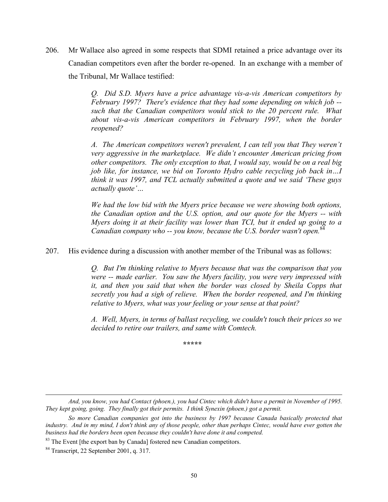206. Mr Wallace also agreed in some respects that SDMI retained a price advantage over its Canadian competitors even after the border re-opened. In an exchange with a member of the Tribunal, Mr Wallace testified:

> *Q. Did S.D. Myers have a price advantage vis-a-vis American competitors by February 1997? There's evidence that they had some depending on which job - such that the Canadian competitors would stick to the 20 percent rule. What about vis-a-vis American competitors in February 1997, when the border reopened?*

> *A. The American competitors weren't prevalent, I can tell you that They weren't very aggressive in the marketplace. We didn't encounter American pricing from other competitors. The only exception to that, I would say, would be on a real big job like, for instance, we bid on Toronto Hydro cable recycling job back in…I think it was 1997, and TCL actually submitted a quote and we said 'These guys actually quote'…*

> *We had the low bid with the Myers price because we were showing both options, the Canadian option and the U.S. option, and our quote for the Myers -- with Myers doing it at their facility was lower than TCI, but it ended up going to a Canadian company who -- you know, because the U.S. border wasn't open.*[84](#page-49-0)

207. His evidence during a discussion with another member of the Tribunal was as follows:

*Q. But I'm thinking relative to Myers because that was the comparison that you were -- made earlier. You saw the Myers facility, you were very impressed with it, and then you said that when the border was closed by Sheila Copps that secretly you had a sigh of relieve. When the border reopened, and I'm thinking relative to Myers, what was your feeling or your sense at that point?* 

*A. Well, Myers, in terms of ballast recycling, we couldn't touch their prices so we decided to retire our trailers, and same with Comtech.* 

 *\*\*\*\*\** 

 $\overline{a}$ 

*And, you know, you had Contact (phoen.), you had Cintec which didn't have a permit in November of 1995. They kept going, going. They finally got their permits. I think Synexin (phoen.) got a permit.* 

*So more Canadian companies got into the business by 1997 because Canada basically protected that industry. And in my mind, I don't think any of those people, other than perhaps Cintec, would have ever gotten the business had the borders been open because they couldn't have done it and competed.*

<sup>&</sup>lt;sup>83</sup> The Event [the export ban by Canada] fostered new Canadian competitors.<br><sup>84</sup> Transcript, 22 September 2001, q. 317.

<span id="page-49-0"></span>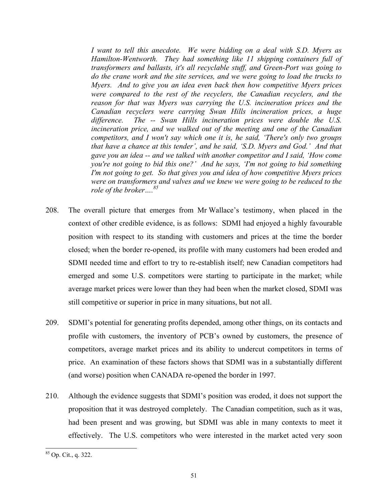*I want to tell this anecdote. We were bidding on a deal with S.D. Myers as Hamilton-Wentworth. They had something like 11 shipping containers full of transformers and ballasts, it's all recyclable stuff, and Green-Port was going to do the crane work and the site services, and we were going to load the trucks to Myers. And to give you an idea even back then how competitive Myers prices were compared to the rest of the recyclers, the Canadian recyclers, and the reason for that was Myers was carrying the U.S. incineration prices and the Canadian recyclers were carrying Swan Hills incineration prices, a huge difference. The -- Swan Hills incineration prices were double the U.S. incineration price, and we walked out of the meeting and one of the Canadian competitors, and I won't say which one it is, he said, 'There's only two groups that have a chance at this tender', and he said, 'S.D. Myers and God.' And that gave you an idea -- and we talked with another competitor and I said, 'How come you're not going to bid this one?' And he says, 'I'm not going to bid something I'm not going to get. So that gives you and idea of how competitive Myers prices were on transformers and valves and we knew we were going to be reduced to the role of the broker…[.85](#page-50-0)* 

- 208. The overall picture that emerges from Mr Wallace's testimony, when placed in the context of other credible evidence, is as follows: SDMI had enjoyed a highly favourable position with respect to its standing with customers and prices at the time the border closed; when the border re-opened, its profile with many customers had been eroded and SDMI needed time and effort to try to re-establish itself; new Canadian competitors had emerged and some U.S. competitors were starting to participate in the market; while average market prices were lower than they had been when the market closed, SDMI was still competitive or superior in price in many situations, but not all.
- 209. SDMI's potential for generating profits depended, among other things, on its contacts and profile with customers, the inventory of PCB's owned by customers, the presence of competitors, average market prices and its ability to undercut competitors in terms of price. An examination of these factors shows that SDMI was in a substantially different (and worse) position when CANADA re-opened the border in 1997.
- 210. Although the evidence suggests that SDMI's position was eroded, it does not support the proposition that it was destroyed completely. The Canadian competition, such as it was, had been present and was growing, but SDMI was able in many contexts to meet it effectively. The U.S. competitors who were interested in the market acted very soon

<span id="page-50-0"></span> <sup>85</sup> Op. Cit., q. 322.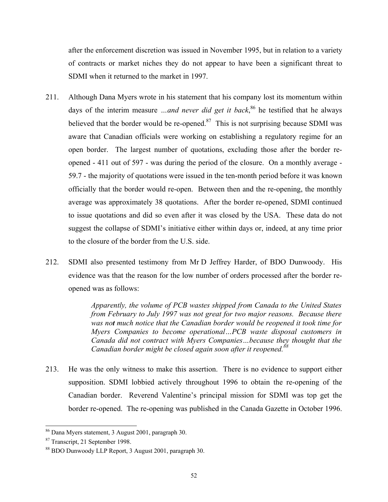after the enforcement discretion was issued in November 1995, but in relation to a variety of contracts or market niches they do not appear to have been a significant threat to SDMI when it returned to the market in 1997.

- 211. Although Dana Myers wrote in his statement that his company lost its momentum within days of the interim measure *…and never did get it back*, [86](#page-51-0) he testified that he always believed that the border would be re-opened. $87$  This is not surprising because SDMI was aware that Canadian officials were working on establishing a regulatory regime for an open border. The largest number of quotations, excluding those after the border reopened - 411 out of 597 - was during the period of the closure. On a monthly average - 59.7 - the majority of quotations were issued in the ten-month period before it was known officially that the border would re-open. Between then and the re-opening, the monthly average was approximately 38 quotations. After the border re-opened, SDMI continued to issue quotations and did so even after it was closed by the USA. These data do not suggest the collapse of SDMI's initiative either within days or, indeed, at any time prior to the closure of the border from the U.S. side.
- 212. SDMI also presented testimony from Mr D Jeffrey Harder, of BDO Dunwoody. His evidence was that the reason for the low number of orders processed after the border reopened was as follows:

*Apparently, the volume of PCB wastes shipped from Canada to the United States from February to July 1997 was not great for two major reasons. Because there was not much notice that the Canadian border would be reopened it took time for Myers Companies to become operational…PCB waste disposal customers in Canada did not contract with Myers Companies…because they thought that the Canadian border might be closed again soon after it reopened.[88](#page-51-2)*

213. He was the only witness to make this assertion. There is no evidence to support either supposition. SDMI lobbied actively throughout 1996 to obtain the re-opening of the Canadian border. Reverend Valentine's principal mission for SDMI was top get the border re-opened. The re-opening was published in the Canada Gazette in October 1996.

<span id="page-51-0"></span><sup>&</sup>lt;sup>86</sup> Dana Myers statement, 3 August 2001, paragraph 30.<br><sup>87</sup> Transcript, 21 September 1998.<br><sup>88</sup> BDO Dunwoody LLP Report, 3 August 2001, paragraph 30.

<span id="page-51-1"></span>

<span id="page-51-2"></span>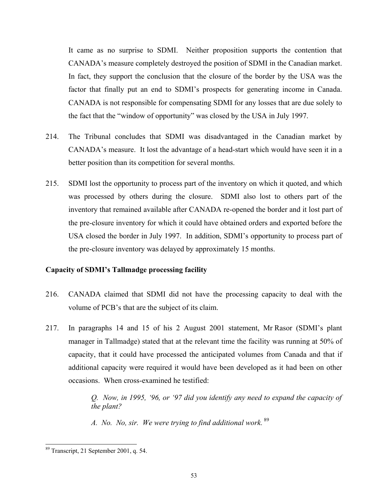It came as no surprise to SDMI. Neither proposition supports the contention that CANADA's measure completely destroyed the position of SDMI in the Canadian market. In fact, they support the conclusion that the closure of the border by the USA was the factor that finally put an end to SDMI's prospects for generating income in Canada. CANADA is not responsible for compensating SDMI for any losses that are due solely to the fact that the "window of opportunity" was closed by the USA in July 1997.

- 214. The Tribunal concludes that SDMI was disadvantaged in the Canadian market by CANADA's measure. It lost the advantage of a head-start which would have seen it in a better position than its competition for several months.
- 215. SDMI lost the opportunity to process part of the inventory on which it quoted, and which was processed by others during the closure. SDMI also lost to others part of the inventory that remained available after CANADA re-opened the border and it lost part of the pre-closure inventory for which it could have obtained orders and exported before the USA closed the border in July 1997. In addition, SDMI's opportunity to process part of the pre-closure inventory was delayed by approximately 15 months.

## **Capacity of SDMI's Tallmadge processing facility**

- 216. CANADA claimed that SDMI did not have the processing capacity to deal with the volume of PCB's that are the subject of its claim.
- 217. In paragraphs 14 and 15 of his 2 August 2001 statement, Mr Rasor (SDMI's plant manager in Tallmadge) stated that at the relevant time the facility was running at 50% of capacity, that it could have processed the anticipated volumes from Canada and that if additional capacity were required it would have been developed as it had been on other occasions. When cross-examined he testified:

*Q. Now, in 1995, '96, or '97 did you identify any need to expand the capacity of the plant?* 

*A. No. No, sir. We were trying to find additional work.* [89](#page-52-0)

<span id="page-52-0"></span> <sup>89</sup> Transcript, 21 September 2001, q. 54.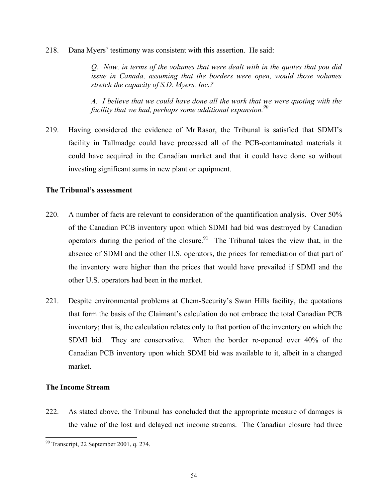218. Dana Myers' testimony was consistent with this assertion. He said:

*Q. Now, in terms of the volumes that were dealt with in the quotes that you did issue in Canada, assuming that the borders were open, would those volumes stretch the capacity of S.D. Myers, Inc.?* 

*A. I believe that we could have done all the work that we were quoting with the facility that we had, perhaps some additional expansion.[90](#page-53-0)*

219. Having considered the evidence of Mr Rasor, the Tribunal is satisfied that SDMI's facility in Tallmadge could have processed all of the PCB-contaminated materials it could have acquired in the Canadian market and that it could have done so without investing significant sums in new plant or equipment.

## **The Tribunal's assessment**

- 220. A number of facts are relevant to consideration of the quantification analysis. Over 50% of the Canadian PCB inventory upon which SDMI had bid was destroyed by Canadian operators during the period of the closure.<sup>91</sup> The Tribunal takes the view that, in the absence of SDMI and the other U.S. operators, the prices for remediation of that part of the inventory were higher than the prices that would have prevailed if SDMI and the other U.S. operators had been in the market.
- 221. Despite environmental problems at Chem-Security's Swan Hills facility, the quotations that form the basis of the Claimant's calculation do not embrace the total Canadian PCB inventory; that is, the calculation relates only to that portion of the inventory on which the SDMI bid. They are conservative. When the border re-opened over 40% of the Canadian PCB inventory upon which SDMI bid was available to it, albeit in a changed market.

# **The Income Stream**

222. As stated above, the Tribunal has concluded that the appropriate measure of damages is the value of the lost and delayed net income streams. The Canadian closure had three

<span id="page-53-1"></span><span id="page-53-0"></span> <sup>90</sup> Transcript, 22 September 2001, q. 274.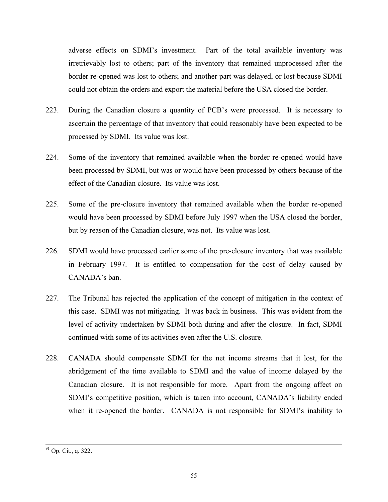adverse effects on SDMI's investment. Part of the total available inventory was irretrievably lost to others; part of the inventory that remained unprocessed after the border re-opened was lost to others; and another part was delayed, or lost because SDMI could not obtain the orders and export the material before the USA closed the border.

- 223. During the Canadian closure a quantity of PCB's were processed. It is necessary to ascertain the percentage of that inventory that could reasonably have been expected to be processed by SDMI. Its value was lost.
- 224. Some of the inventory that remained available when the border re-opened would have been processed by SDMI, but was or would have been processed by others because of the effect of the Canadian closure. Its value was lost.
- 225. Some of the pre-closure inventory that remained available when the border re-opened would have been processed by SDMI before July 1997 when the USA closed the border, but by reason of the Canadian closure, was not. Its value was lost.
- 226. SDMI would have processed earlier some of the pre-closure inventory that was available in February 1997. It is entitled to compensation for the cost of delay caused by CANADA's ban.
- 227. The Tribunal has rejected the application of the concept of mitigation in the context of this case. SDMI was not mitigating. It was back in business. This was evident from the level of activity undertaken by SDMI both during and after the closure. In fact, SDMI continued with some of its activities even after the U.S. closure.
- 228. CANADA should compensate SDMI for the net income streams that it lost, for the abridgement of the time available to SDMI and the value of income delayed by the Canadian closure. It is not responsible for more. Apart from the ongoing affect on SDMI's competitive position, which is taken into account, CANADA's liability ended when it re-opened the border. CANADA is not responsible for SDMI's inability to

 <sup>91</sup> Op. Cit., q. 322.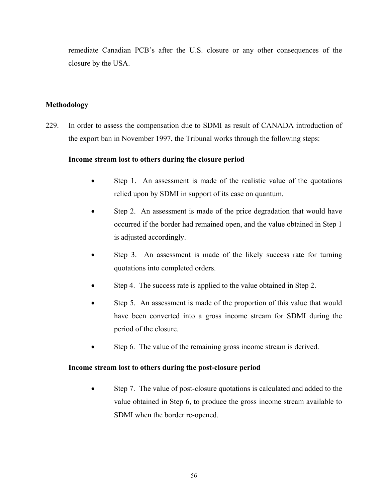remediate Canadian PCB's after the U.S. closure or any other consequences of the closure by the USA.

# **Methodology**

229. In order to assess the compensation due to SDMI as result of CANADA introduction of the export ban in November 1997, the Tribunal works through the following steps:

## **Income stream lost to others during the closure period**

- Step 1. An assessment is made of the realistic value of the quotations relied upon by SDMI in support of its case on quantum.
- Step 2. An assessment is made of the price degradation that would have occurred if the border had remained open, and the value obtained in Step 1 is adjusted accordingly.
- Step 3. An assessment is made of the likely success rate for turning quotations into completed orders.
- Step 4. The success rate is applied to the value obtained in Step 2.
- Step 5. An assessment is made of the proportion of this value that would have been converted into a gross income stream for SDMI during the period of the closure.
- Step 6. The value of the remaining gross income stream is derived.

## **Income stream lost to others during the post-closure period**

• Step 7. The value of post-closure quotations is calculated and added to the value obtained in Step 6, to produce the gross income stream available to SDMI when the border re-opened.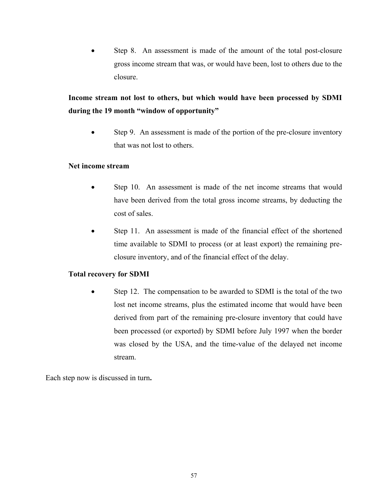Step 8. An assessment is made of the amount of the total post-closure gross income stream that was, or would have been, lost to others due to the closure.

# **Income stream not lost to others, but which would have been processed by SDMI during the 19 month "window of opportunity"**

• Step 9. An assessment is made of the portion of the pre-closure inventory that was not lost to others.

## **Net income stream**

- Step 10. An assessment is made of the net income streams that would have been derived from the total gross income streams, by deducting the cost of sales.
- Step 11. An assessment is made of the financial effect of the shortened time available to SDMI to process (or at least export) the remaining preclosure inventory, and of the financial effect of the delay.

# **Total recovery for SDMI**

Step 12. The compensation to be awarded to SDMI is the total of the two lost net income streams, plus the estimated income that would have been derived from part of the remaining pre-closure inventory that could have been processed (or exported) by SDMI before July 1997 when the border was closed by the USA, and the time-value of the delayed net income stream.

Each step now is discussed in turn**.**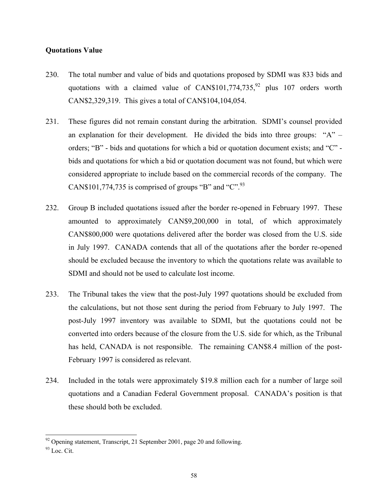#### **Quotations Value**

- 230. The total number and value of bids and quotations proposed by SDMI was 833 bids and quotations with a claimed value of  $CAN$101,774,735<sup>92</sup>$  plus 107 orders worth CAN\$2,329,319. This gives a total of CAN\$104,104,054.
- 231. These figures did not remain constant during the arbitration. SDMI's counsel provided an explanation for their development. He divided the bids into three groups: "A" – orders; "B" - bids and quotations for which a bid or quotation document exists; and "C" bids and quotations for which a bid or quotation document was not found, but which were considered appropriate to include based on the commercial records of the company. The CAN\$101,774,735 is comprised of groups "B" and "C".
- 232. Group B included quotations issued after the border re-opened in February 1997. These amounted to approximately CAN\$9,200,000 in total, of which approximately CAN\$800,000 were quotations delivered after the border was closed from the U.S. side in July 1997. CANADA contends that all of the quotations after the border re-opened should be excluded because the inventory to which the quotations relate was available to SDMI and should not be used to calculate lost income.
- 233. The Tribunal takes the view that the post-July 1997 quotations should be excluded from the calculations, but not those sent during the period from February to July 1997. The post-July 1997 inventory was available to SDMI, but the quotations could not be converted into orders because of the closure from the U.S. side for which, as the Tribunal has held, CANADA is not responsible. The remaining CAN\$8.4 million of the post-February 1997 is considered as relevant.
- 234. Included in the totals were approximately \$19.8 million each for a number of large soil quotations and a Canadian Federal Government proposal. CANADA's position is that these should both be excluded.

<span id="page-57-0"></span> $92$  Opening statement, Transcript, 21 September 2001, page 20 and following.<br> $93$  Loc. Cit.

<span id="page-57-1"></span>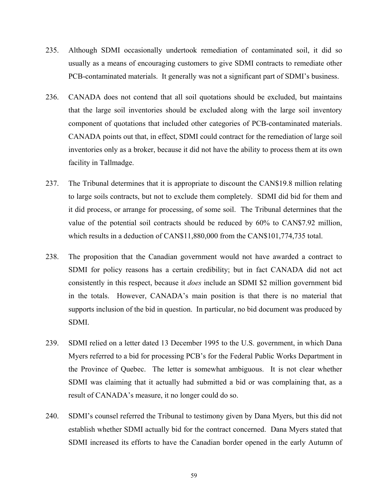- 235. Although SDMI occasionally undertook remediation of contaminated soil, it did so usually as a means of encouraging customers to give SDMI contracts to remediate other PCB-contaminated materials. It generally was not a significant part of SDMI's business.
- 236. CANADA does not contend that all soil quotations should be excluded, but maintains that the large soil inventories should be excluded along with the large soil inventory component of quotations that included other categories of PCB-contaminated materials. CANADA points out that, in effect, SDMI could contract for the remediation of large soil inventories only as a broker, because it did not have the ability to process them at its own facility in Tallmadge.
- 237. The Tribunal determines that it is appropriate to discount the CAN\$19.8 million relating to large soils contracts, but not to exclude them completely. SDMI did bid for them and it did process, or arrange for processing, of some soil. The Tribunal determines that the value of the potential soil contracts should be reduced by 60% to CAN\$7.92 million, which results in a deduction of CAN\$11,880,000 from the CAN\$101,774,735 total.
- 238. The proposition that the Canadian government would not have awarded a contract to SDMI for policy reasons has a certain credibility; but in fact CANADA did not act consistently in this respect, because it *does* include an SDMI \$2 million government bid in the totals. However, CANADA's main position is that there is no material that supports inclusion of the bid in question. In particular, no bid document was produced by SDMI.
- 239. SDMI relied on a letter dated 13 December 1995 to the U.S. government, in which Dana Myers referred to a bid for processing PCB's for the Federal Public Works Department in the Province of Quebec. The letter is somewhat ambiguous. It is not clear whether SDMI was claiming that it actually had submitted a bid or was complaining that, as a result of CANADA's measure, it no longer could do so.
- 240. SDMI's counsel referred the Tribunal to testimony given by Dana Myers, but this did not establish whether SDMI actually bid for the contract concerned. Dana Myers stated that SDMI increased its efforts to have the Canadian border opened in the early Autumn of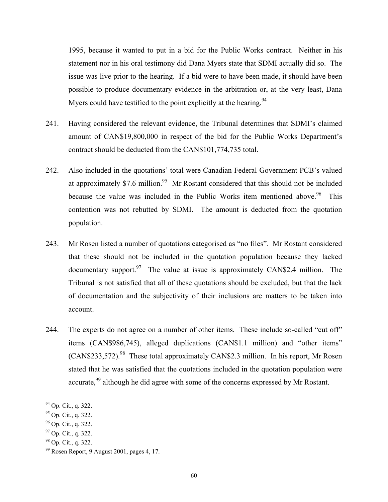1995, because it wanted to put in a bid for the Public Works contract. Neither in his statement nor in his oral testimony did Dana Myers state that SDMI actually did so. The issue was live prior to the hearing. If a bid were to have been made, it should have been possible to produce documentary evidence in the arbitration or, at the very least, Dana Myers could have testified to the point explicitly at the hearing.<sup>94</sup>

- 241. Having considered the relevant evidence, the Tribunal determines that SDMI's claimed amount of CAN\$19,800,000 in respect of the bid for the Public Works Department's contract should be deducted from the CAN\$101,774,735 total.
- 242. Also included in the quotations' total were Canadian Federal Government PCB's valued at approximately \$7.6 million.<sup>95</sup> Mr Rostant considered that this should not be included because the value was included in the Public Works item mentioned above.<sup>96</sup> This contention was not rebutted by SDMI. The amount is deducted from the quotation population.
- 243. Mr Rosen listed a number of quotations categorised as "no files"*.* Mr Rostant considered that these should not be included in the quotation population because they lacked documentary support. $97$  The value at issue is approximately CAN\$2.4 million. The Tribunal is not satisfied that all of these quotations should be excluded, but that the lack of documentation and the subjectivity of their inclusions are matters to be taken into account.
- 244. The experts do not agree on a number of other items. These include so-called "cut off" items (CAN\$986,745), alleged duplications (CAN\$1.1 million) and "other items"  $(CAN$233,572).$ <sup>98</sup> These total approximately CAN\$2.3 million. In his report, Mr Rosen stated that he was satisfied that the quotations included in the quotation population were accurate,<sup>99</sup> although he did agree with some of the concerns expressed by Mr Rostant.

<span id="page-59-0"></span> <sup>94</sup> Op. Cit., q. 322.

<span id="page-59-2"></span><span id="page-59-1"></span>

<sup>95</sup> Op. Cit., q. 322.<br>
96 Op. Cit., q. 322.<br>
97 Op. Cit., q. 322.

<span id="page-59-3"></span>

<span id="page-59-5"></span><span id="page-59-4"></span>

<sup>&</sup>lt;sup>98</sup> Op. Cit., q. 322.<br><sup>99</sup> Rosen Report, 9 August 2001, pages 4, 17.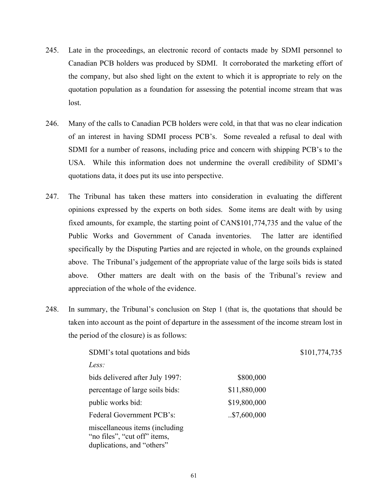- 245. Late in the proceedings, an electronic record of contacts made by SDMI personnel to Canadian PCB holders was produced by SDMI. It corroborated the marketing effort of the company, but also shed light on the extent to which it is appropriate to rely on the quotation population as a foundation for assessing the potential income stream that was lost.
- 246. Many of the calls to Canadian PCB holders were cold, in that that was no clear indication of an interest in having SDMI process PCB's. Some revealed a refusal to deal with SDMI for a number of reasons, including price and concern with shipping PCB's to the USA. While this information does not undermine the overall credibility of SDMI's quotations data, it does put its use into perspective.
- 247. The Tribunal has taken these matters into consideration in evaluating the different opinions expressed by the experts on both sides. Some items are dealt with by using fixed amounts, for example, the starting point of CAN\$101,774,735 and the value of the Public Works and Government of Canada inventories. The latter are identified specifically by the Disputing Parties and are rejected in whole, on the grounds explained above. The Tribunal's judgement of the appropriate value of the large soils bids is stated above. Other matters are dealt with on the basis of the Tribunal's review and appreciation of the whole of the evidence.
- 248. In summary, the Tribunal's conclusion on Step 1 (that is, the quotations that should be taken into account as the point of departure in the assessment of the income stream lost in the period of the closure) is as follows:

| SDMI's total quotations and bids                                                              |              | \$101,774,735 |
|-----------------------------------------------------------------------------------------------|--------------|---------------|
| Less:                                                                                         |              |               |
| bids delivered after July 1997:                                                               | \$800,000    |               |
| percentage of large soils bids:                                                               | \$11,880,000 |               |
| public works bid:                                                                             | \$19,800,000 |               |
| Federal Government PCB's:                                                                     | .57,600,000  |               |
| miscellaneous items (including)<br>"no files", "cut off" items,<br>duplications, and "others" |              |               |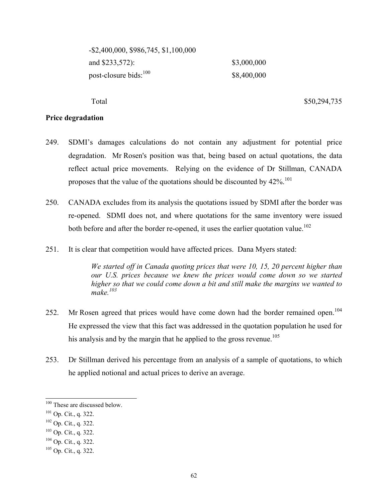| $-$ \$2,400,000, \$986,745, \$1,100,000 |             |
|-----------------------------------------|-------------|
| and \$233,572):                         | \$3,000,000 |
| post-closure bids: <sup>100</sup>       | \$8,400,000 |

Total \$50,294,735

#### **Price degradation**

- 249. SDMI's damages calculations do not contain any adjustment for potential price degradation. Mr Rosen's position was that, being based on actual quotations, the data reflect actual price movements. Relying on the evidence of Dr Stillman, CANADA proposes that the value of the quotations should be discounted by 42%.<sup>[101](#page-61-1)</sup>
- 250. CANADA excludes from its analysis the quotations issued by SDMI after the border was re-opened. SDMI does not, and where quotations for the same inventory were issued both before and after the border re-opened, it uses the earlier quotation value.<sup>102</sup>
- 251. It is clear that competition would have affected prices. Dana Myers stated:

*We started off in Canada quoting prices that were 10, 15, 20 percent higher than our U.S. prices because we knew the prices would come down so we started higher so that we could come down a bit and still make the margins we wanted to make.[103](#page-61-3)*

- 252. Mr Rosen agreed that prices would have come down had the border remained open.<sup>104</sup> He expressed the view that this fact was addressed in the quotation population he used for his analysis and by the margin that he applied to the gross revenue.<sup>[105](#page-61-5)</sup>
- 253. Dr Stillman derived his percentage from an analysis of a sample of quotations, to which he applied notional and actual prices to derive an average.

<span id="page-61-0"></span><sup>&</sup>lt;sup>100</sup> These are discussed below.

<span id="page-61-1"></span><sup>&</sup>lt;sup>101</sup> Op. Cit., q. 322.<br><sup>102</sup> Op. Cit., q. 322.

<span id="page-61-2"></span>

<span id="page-61-3"></span>

<sup>103</sup> Op. Cit., q. 322.<br>
104 Op. Cit., q. 322.<br>
105 Op. Cit., q. 322.

<span id="page-61-5"></span><span id="page-61-4"></span>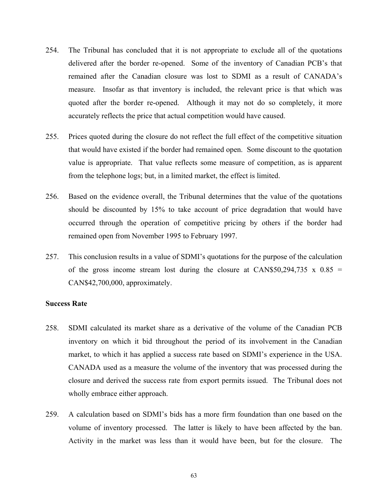- 254. The Tribunal has concluded that it is not appropriate to exclude all of the quotations delivered after the border re-opened. Some of the inventory of Canadian PCB's that remained after the Canadian closure was lost to SDMI as a result of CANADA's measure. Insofar as that inventory is included, the relevant price is that which was quoted after the border re-opened. Although it may not do so completely, it more accurately reflects the price that actual competition would have caused.
- 255. Prices quoted during the closure do not reflect the full effect of the competitive situation that would have existed if the border had remained open. Some discount to the quotation value is appropriate. That value reflects some measure of competition, as is apparent from the telephone logs; but, in a limited market, the effect is limited.
- 256. Based on the evidence overall, the Tribunal determines that the value of the quotations should be discounted by 15% to take account of price degradation that would have occurred through the operation of competitive pricing by others if the border had remained open from November 1995 to February 1997.
- 257. This conclusion results in a value of SDMI's quotations for the purpose of the calculation of the gross income stream lost during the closure at CAN\$50,294,735 x  $0.85 =$ CAN\$42,700,000, approximately.

#### **Success Rate**

- 258. SDMI calculated its market share as a derivative of the volume of the Canadian PCB inventory on which it bid throughout the period of its involvement in the Canadian market, to which it has applied a success rate based on SDMI's experience in the USA. CANADA used as a measure the volume of the inventory that was processed during the closure and derived the success rate from export permits issued. The Tribunal does not wholly embrace either approach.
- 259. A calculation based on SDMI's bids has a more firm foundation than one based on the volume of inventory processed. The latter is likely to have been affected by the ban. Activity in the market was less than it would have been, but for the closure. The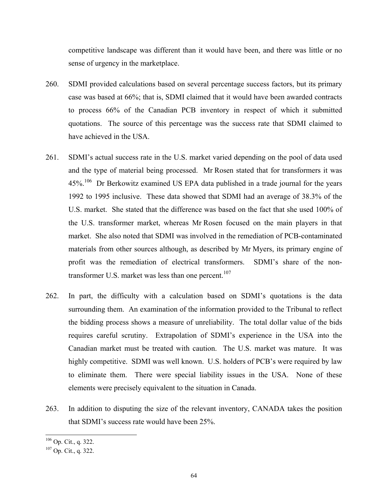competitive landscape was different than it would have been, and there was little or no sense of urgency in the marketplace.

- 260. SDMI provided calculations based on several percentage success factors, but its primary case was based at 66%; that is, SDMI claimed that it would have been awarded contracts to process 66% of the Canadian PCB inventory in respect of which it submitted quotations. The source of this percentage was the success rate that SDMI claimed to have achieved in the USA.
- 261. SDMI's actual success rate in the U.S. market varied depending on the pool of data used and the type of material being processed. Mr Rosen stated that for transformers it was 45%<sup>106</sup> Dr Berkowitz examined US EPA data published in a trade journal for the years 1992 to 1995 inclusive. These data showed that SDMI had an average of 38.3% of the U.S. market. She stated that the difference was based on the fact that she used 100% of the U.S. transformer market, whereas Mr Rosen focused on the main players in that market. She also noted that SDMI was involved in the remediation of PCB-contaminated materials from other sources although, as described by Mr Myers, its primary engine of profit was the remediation of electrical transformers. SDMI's share of the non-transformer U.S. market was less than one percent.<sup>[107](#page-63-1)</sup>
- 262. In part, the difficulty with a calculation based on SDMI's quotations is the data surrounding them. An examination of the information provided to the Tribunal to reflect the bidding process shows a measure of unreliability. The total dollar value of the bids requires careful scrutiny. Extrapolation of SDMI's experience in the USA into the Canadian market must be treated with caution. The U.S. market was mature. It was highly competitive. SDMI was well known. U.S. holders of PCB's were required by law to eliminate them. There were special liability issues in the USA. None of these elements were precisely equivalent to the situation in Canada.
- 263. In addition to disputing the size of the relevant inventory, CANADA takes the position that SDMI's success rate would have been 25%.

<span id="page-63-0"></span> $^{106}$  Op. Cit., q. 322.<br> $^{107}$  Op. Cit., q. 322.

<span id="page-63-1"></span>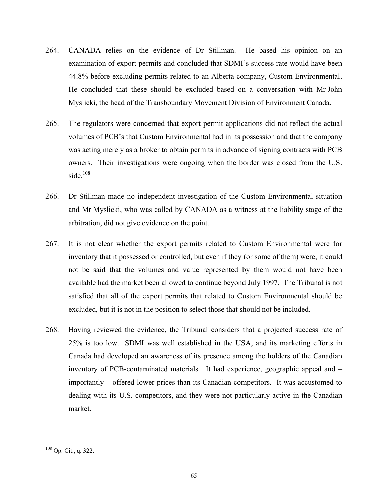- 264. CANADA relies on the evidence of Dr Stillman. He based his opinion on an examination of export permits and concluded that SDMI's success rate would have been 44.8% before excluding permits related to an Alberta company, Custom Environmental. He concluded that these should be excluded based on a conversation with Mr John Myslicki, the head of the Transboundary Movement Division of Environment Canada.
- 265. The regulators were concerned that export permit applications did not reflect the actual volumes of PCB's that Custom Environmental had in its possession and that the company was acting merely as a broker to obtain permits in advance of signing contracts with PCB owners. Their investigations were ongoing when the border was closed from the U.S. side.<sup>[108](#page-64-0)</sup>
- 266. Dr Stillman made no independent investigation of the Custom Environmental situation and Mr Myslicki, who was called by CANADA as a witness at the liability stage of the arbitration, did not give evidence on the point.
- 267. It is not clear whether the export permits related to Custom Environmental were for inventory that it possessed or controlled, but even if they (or some of them) were, it could not be said that the volumes and value represented by them would not have been available had the market been allowed to continue beyond July 1997. The Tribunal is not satisfied that all of the export permits that related to Custom Environmental should be excluded, but it is not in the position to select those that should not be included.
- 268. Having reviewed the evidence, the Tribunal considers that a projected success rate of 25% is too low. SDMI was well established in the USA, and its marketing efforts in Canada had developed an awareness of its presence among the holders of the Canadian inventory of PCB-contaminated materials. It had experience, geographic appeal and – importantly – offered lower prices than its Canadian competitors. It was accustomed to dealing with its U.S. competitors, and they were not particularly active in the Canadian market.

<span id="page-64-0"></span> <sup>108</sup> Op. Cit., q. 322.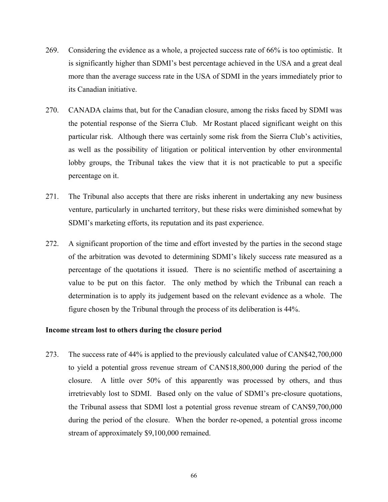- 269. Considering the evidence as a whole, a projected success rate of 66% is too optimistic. It is significantly higher than SDMI's best percentage achieved in the USA and a great deal more than the average success rate in the USA of SDMI in the years immediately prior to its Canadian initiative.
- 270. CANADA claims that, but for the Canadian closure, among the risks faced by SDMI was the potential response of the Sierra Club. Mr Rostant placed significant weight on this particular risk. Although there was certainly some risk from the Sierra Club's activities, as well as the possibility of litigation or political intervention by other environmental lobby groups, the Tribunal takes the view that it is not practicable to put a specific percentage on it.
- 271. The Tribunal also accepts that there are risks inherent in undertaking any new business venture, particularly in uncharted territory, but these risks were diminished somewhat by SDMI's marketing efforts, its reputation and its past experience.
- 272. A significant proportion of the time and effort invested by the parties in the second stage of the arbitration was devoted to determining SDMI's likely success rate measured as a percentage of the quotations it issued. There is no scientific method of ascertaining a value to be put on this factor. The only method by which the Tribunal can reach a determination is to apply its judgement based on the relevant evidence as a whole. The figure chosen by the Tribunal through the process of its deliberation is 44%.

#### **Income stream lost to others during the closure period**

273. The success rate of 44% is applied to the previously calculated value of CAN\$42,700,000 to yield a potential gross revenue stream of CAN\$18,800,000 during the period of the closure. A little over 50% of this apparently was processed by others, and thus irretrievably lost to SDMI. Based only on the value of SDMI's pre-closure quotations, the Tribunal assess that SDMI lost a potential gross revenue stream of CAN\$9,700,000 during the period of the closure. When the border re-opened, a potential gross income stream of approximately \$9,100,000 remained.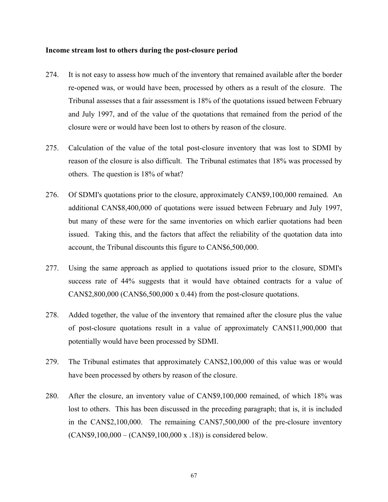#### **Income stream lost to others during the post-closure period**

- 274. It is not easy to assess how much of the inventory that remained available after the border re-opened was, or would have been, processed by others as a result of the closure. The Tribunal assesses that a fair assessment is 18% of the quotations issued between February and July 1997, and of the value of the quotations that remained from the period of the closure were or would have been lost to others by reason of the closure.
- 275. Calculation of the value of the total post-closure inventory that was lost to SDMI by reason of the closure is also difficult. The Tribunal estimates that 18% was processed by others. The question is 18% of what?
- 276. Of SDMI's quotations prior to the closure, approximately CAN\$9,100,000 remained. An additional CAN\$8,400,000 of quotations were issued between February and July 1997, but many of these were for the same inventories on which earlier quotations had been issued. Taking this, and the factors that affect the reliability of the quotation data into account, the Tribunal discounts this figure to CAN\$6,500,000.
- 277. Using the same approach as applied to quotations issued prior to the closure, SDMI's success rate of 44% suggests that it would have obtained contracts for a value of CAN\$2,800,000 (CAN\$6,500,000 x 0.44) from the post-closure quotations.
- 278. Added together, the value of the inventory that remained after the closure plus the value of post-closure quotations result in a value of approximately CAN\$11,900,000 that potentially would have been processed by SDMI.
- 279. The Tribunal estimates that approximately CAN\$2,100,000 of this value was or would have been processed by others by reason of the closure.
- 280. After the closure, an inventory value of CAN\$9,100,000 remained, of which 18% was lost to others. This has been discussed in the preceding paragraph; that is, it is included in the CAN\$2,100,000. The remaining CAN\$7,500,000 of the pre-closure inventory (CAN\$9,100,000 – (CAN\$9,100,000 x .18)) is considered below.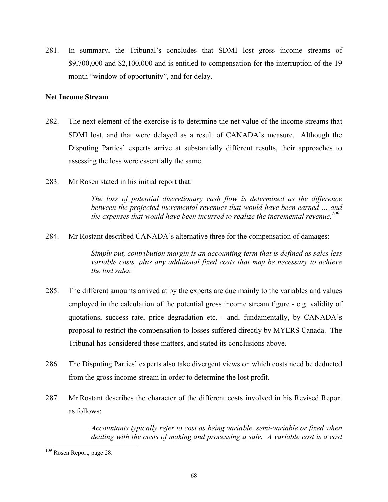281. In summary, the Tribunal's concludes that SDMI lost gross income streams of \$9,700,000 and \$2,100,000 and is entitled to compensation for the interruption of the 19 month "window of opportunity", and for delay.

## **Net Income Stream**

- 282. The next element of the exercise is to determine the net value of the income streams that SDMI lost, and that were delayed as a result of CANADA's measure. Although the Disputing Parties' experts arrive at substantially different results, their approaches to assessing the loss were essentially the same.
- 283. Mr Rosen stated in his initial report that:

*The loss of potential discretionary cash flow is determined as the difference between the projected incremental revenues that would have been earned … and the expenses that would have been incurred to realize the incremental revenue. [109](#page-67-0)*

284. Mr Rostant described CANADA's alternative three for the compensation of damages:

*Simply put, contribution margin is an accounting term that is defined as sales less variable costs, plus any additional fixed costs that may be necessary to achieve the lost sales.* 

- 285. The different amounts arrived at by the experts are due mainly to the variables and values employed in the calculation of the potential gross income stream figure - e.g. validity of quotations, success rate, price degradation etc. - and, fundamentally, by CANADA's proposal to restrict the compensation to losses suffered directly by MYERS Canada. The Tribunal has considered these matters, and stated its conclusions above.
- 286. The Disputing Parties' experts also take divergent views on which costs need be deducted from the gross income stream in order to determine the lost profit.
- 287. Mr Rostant describes the character of the different costs involved in his Revised Report as follows:

*Accountants typically refer to cost as being variable, semi-variable or fixed when dealing with the costs of making and processing a sale. A variable cost is a cost* 

<span id="page-67-0"></span> <sup>109</sup> Rosen Report, page 28.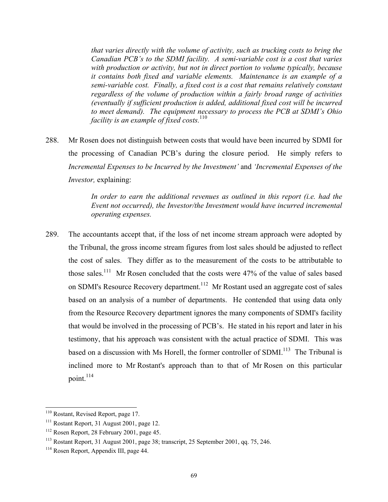*that varies directly with the volume of activity, such as trucking costs to bring the Canadian PCB's to the SDMI facility. A semi-variable cost is a cost that varies with production or activity, but not in direct portion to volume typically, because it contains both fixed and variable elements. Maintenance is an example of a semi-variable cost. Finally, a fixed cost is a cost that remains relatively constant regardless of the volume of production within a fairly broad range of activities (eventually if sufficient production is added, additional fixed cost will be incurred to meet demand). The equipment necessary to process the PCB at SDMI's Ohio facility is an example of fixed costs.*<sup>[110](#page-68-0)</sup>

288. Mr Rosen does not distinguish between costs that would have been incurred by SDMI for the processing of Canadian PCB's during the closure period. He simply refers to *Incremental Expenses to be Incurred by the Investment'* and *'Incremental Expenses of the Investor,* explaining:

> *In order to earn the additional revenues as outlined in this report (i.e. had the Event not occurred), the Investor/the Investment would have incurred incremental operating expenses.*

289. The accountants accept that, if the loss of net income stream approach were adopted by the Tribunal, the gross income stream figures from lost sales should be adjusted to reflect the cost of sales. They differ as to the measurement of the costs to be attributable to those sales.<sup>111</sup> Mr Rosen concluded that the costs were 47% of the value of sales based on SDMI's Resource Recovery department.<sup>112</sup> Mr Rostant used an aggregate cost of sales based on an analysis of a number of departments. He contended that using data only from the Resource Recovery department ignores the many components of SDMI's facility that would be involved in the processing of PCB's. He stated in his report and later in his testimony, that his approach was consistent with the actual practice of SDMI. This was based on a discussion with Ms Horell, the former controller of SDMI.<sup>113</sup> The Tribunal is inclined more to Mr Rostant's approach than to that of Mr Rosen on this particular point. $^{114}$  $^{114}$  $^{114}$ 

<span id="page-68-1"></span><span id="page-68-0"></span>

<sup>&</sup>lt;sup>110</sup> Rostant, Revised Report, page 17.<br><sup>111</sup> Rostant Report, 31 August 2001, page 12.

<span id="page-68-3"></span>

<span id="page-68-2"></span><sup>&</sup>lt;sup>112</sup> Rosen Report, 28 February 2001, page 45.<br><sup>113</sup> Rostant Report, 31 August 2001, page 38; transcript, 25 September 2001, qq. 75, 246.<br><sup>114</sup> Rosen Report, Appendix III, page 44.

<span id="page-68-4"></span>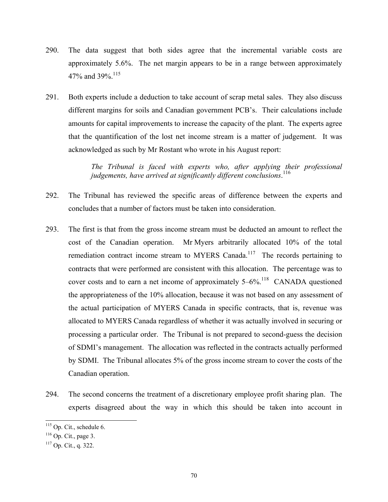- 290. The data suggest that both sides agree that the incremental variable costs are approximately 5.6%. The net margin appears to be in a range between approximately 47% and 39%.<sup>[115](#page-69-0)</sup>
- 291. Both experts include a deduction to take account of scrap metal sales. They also discuss different margins for soils and Canadian government PCB's. Their calculations include amounts for capital improvements to increase the capacity of the plant. The experts agree that the quantification of the lost net income stream is a matter of judgement. It was acknowledged as such by Mr Rostant who wrote in his August report:

*The Tribunal is faced with experts who, after applying their professional judgements, have arrived at significantly different conclusions*. [116](#page-69-1) 

- 292. The Tribunal has reviewed the specific areas of difference between the experts and concludes that a number of factors must be taken into consideration.
- 293. The first is that from the gross income stream must be deducted an amount to reflect the cost of the Canadian operation. Mr Myers arbitrarily allocated 10% of the total remediation contract income stream to MYERS Canada.<sup>117</sup> The records pertaining to contracts that were performed are consistent with this allocation. The percentage was to cover costs and to earn a net income of approximately  $5-6\%$ .<sup>118</sup> CANADA questioned the appropriateness of the 10% allocation, because it was not based on any assessment of the actual participation of MYERS Canada in specific contracts, that is, revenue was allocated to MYERS Canada regardless of whether it was actually involved in securing or processing a particular order. The Tribunal is not prepared to second-guess the decision of SDMI's management. The allocation was reflected in the contracts actually performed by SDMI. The Tribunal allocates 5% of the gross income stream to cover the costs of the Canadian operation.
- 294. The second concerns the treatment of a discretionary employee profit sharing plan. The experts disagreed about the way in which this should be taken into account in

<span id="page-69-0"></span> <sup>115</sup> Op. Cit., schedule 6.

<span id="page-69-1"></span> $^{116}$  Op. Cit., page 3.<br> $^{117}$  Op. Cit., q. 322.

<span id="page-69-3"></span><span id="page-69-2"></span>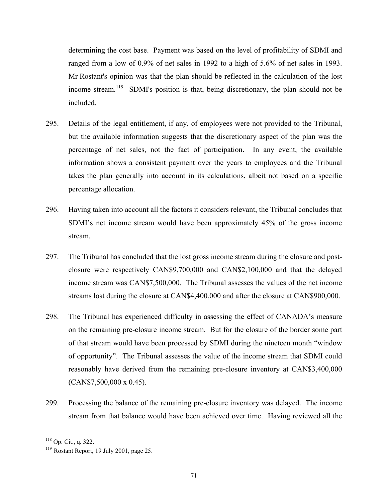determining the cost base. Payment was based on the level of profitability of SDMI and ranged from a low of 0.9% of net sales in 1992 to a high of 5.6% of net sales in 1993. Mr Rostant's opinion was that the plan should be reflected in the calculation of the lost income stream.<sup>119</sup> SDMI's position is that, being discretionary, the plan should not be included.

- 295. Details of the legal entitlement, if any, of employees were not provided to the Tribunal, but the available information suggests that the discretionary aspect of the plan was the percentage of net sales, not the fact of participation. In any event, the available information shows a consistent payment over the years to employees and the Tribunal takes the plan generally into account in its calculations, albeit not based on a specific percentage allocation.
- 296. Having taken into account all the factors it considers relevant, the Tribunal concludes that SDMI's net income stream would have been approximately 45% of the gross income stream.
- 297. The Tribunal has concluded that the lost gross income stream during the closure and postclosure were respectively CAN\$9,700,000 and CAN\$2,100,000 and that the delayed income stream was CAN\$7,500,000. The Tribunal assesses the values of the net income streams lost during the closure at CAN\$4,400,000 and after the closure at CAN\$900,000.
- 298. The Tribunal has experienced difficulty in assessing the effect of CANADA's measure on the remaining pre-closure income stream. But for the closure of the border some part of that stream would have been processed by SDMI during the nineteen month "window of opportunity". The Tribunal assesses the value of the income stream that SDMI could reasonably have derived from the remaining pre-closure inventory at CAN\$3,400,000 (CAN\$7,500,000 x 0.45).
- 299. Processing the balance of the remaining pre-closure inventory was delayed. The income stream from that balance would have been achieved over time. Having reviewed all the

<span id="page-70-0"></span>

<sup>&</sup>lt;sup>118</sup> Op. Cit., q. 322.<br><sup>119</sup> Rostant Report, 19 July 2001, page 25.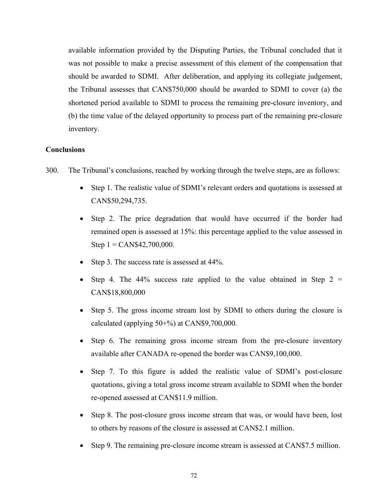available information provided by the Disputing Parties, the Tribunal concluded that it was not possible to make a precise assessment of this element of the compensation that should be awarded to SDMI. After deliberation, and applying its collegiate judgement, the Tribunal assesses that CAN\$750,000 should be awarded to SDMI to cover (a) the shortened period available to SDMI to process the remaining pre-closure inventory, and (b) the time value of the delayed opportunity to process part of the remaining pre-closure inventory.

## **Conclusions**

- 300. The Tribunal's conclusions, reached by working through the twelve steps, are as follows:
	- Step 1. The realistic value of SDMI's relevant orders and quotations is assessed at CAN\$50,294,735.
	- Step 2. The price degradation that would have occurred if the border had remained open is assessed at 15%: this percentage applied to the value assessed in Step  $1 = \text{CAN$}42,700,000$ .
	- Step 3. The success rate is assessed at 44%.
	- Step 4. The 44% success rate applied to the value obtained in Step  $2 =$ CAN\$18,800,000
	- Step 5. The gross income stream lost by SDMI to others during the closure is calculated (applying 50+%) at CAN\$9,700,000.
	- Step 6. The remaining gross income stream from the pre-closure inventory available after CANADA re-opened the border was CAN\$9,100,000.
	- Step 7. To this figure is added the realistic value of SDMI's post-closure quotations, giving a total gross income stream available to SDMI when the border re-opened assessed at CAN\$11.9 million.
	- Step 8. The post-closure gross income stream that was, or would have been, lost to others by reasons of the closure is assessed at CAN\$2.1 million.
	- Step 9. The remaining pre-closure income stream is assessed at CAN\$7.5 million.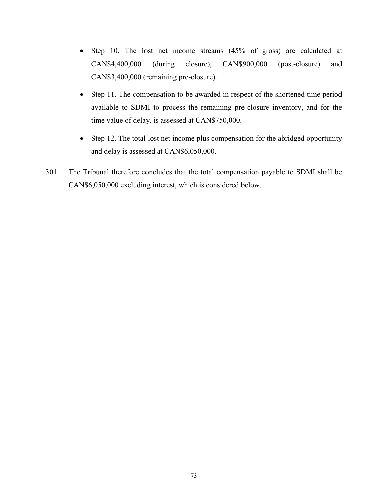- Step 10. The lost net income streams (45% of gross) are calculated at CAN\$4,400,000 (during closure), CAN\$900,000 (post-closure) and CAN\$3,400,000 (remaining pre-closure).
- Step 11. The compensation to be awarded in respect of the shortened time period available to SDMI to process the remaining pre-closure inventory, and for the time value of delay, is assessed at CAN\$750,000.
- Step 12. The total lost net income plus compensation for the abridged opportunity and delay is assessed at CAN\$6,050,000.
- 301. The Tribunal therefore concludes that the total compensation payable to SDMI shall be CAN\$6,050,000 excluding interest, which is considered below.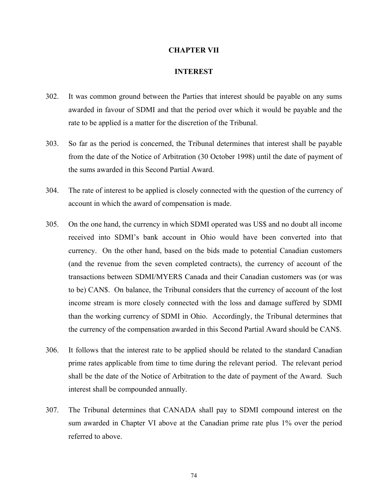#### **CHAPTER VII**

#### **INTEREST**

- 302. It was common ground between the Parties that interest should be payable on any sums awarded in favour of SDMI and that the period over which it would be payable and the rate to be applied is a matter for the discretion of the Tribunal.
- 303. So far as the period is concerned, the Tribunal determines that interest shall be payable from the date of the Notice of Arbitration (30 October 1998) until the date of payment of the sums awarded in this Second Partial Award.
- 304. The rate of interest to be applied is closely connected with the question of the currency of account in which the award of compensation is made.
- 305. On the one hand, the currency in which SDMI operated was US\$ and no doubt all income received into SDMI's bank account in Ohio would have been converted into that currency. On the other hand, based on the bids made to potential Canadian customers (and the revenue from the seven completed contracts), the currency of account of the transactions between SDMI/MYERS Canada and their Canadian customers was (or was to be) CAN\$. On balance, the Tribunal considers that the currency of account of the lost income stream is more closely connected with the loss and damage suffered by SDMI than the working currency of SDMI in Ohio. Accordingly, the Tribunal determines that the currency of the compensation awarded in this Second Partial Award should be CAN\$.
- 306. It follows that the interest rate to be applied should be related to the standard Canadian prime rates applicable from time to time during the relevant period. The relevant period shall be the date of the Notice of Arbitration to the date of payment of the Award. Such interest shall be compounded annually.
- 307. The Tribunal determines that CANADA shall pay to SDMI compound interest on the sum awarded in Chapter VI above at the Canadian prime rate plus 1% over the period referred to above.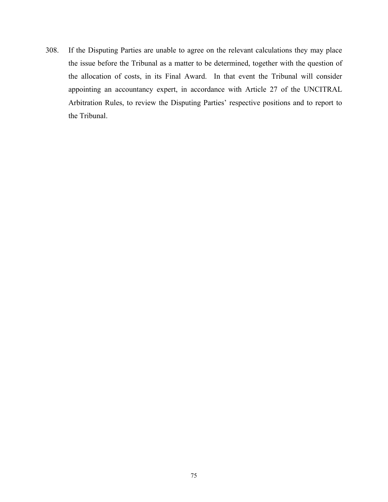308. If the Disputing Parties are unable to agree on the relevant calculations they may place the issue before the Tribunal as a matter to be determined, together with the question of the allocation of costs, in its Final Award. In that event the Tribunal will consider appointing an accountancy expert, in accordance with Article 27 of the UNCITRAL Arbitration Rules, to review the Disputing Parties' respective positions and to report to the Tribunal.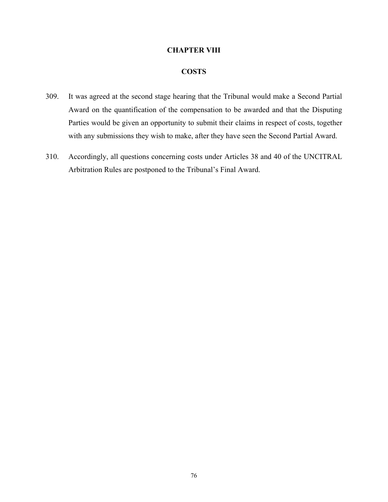# **CHAPTER VIII**

## **COSTS**

- 309. It was agreed at the second stage hearing that the Tribunal would make a Second Partial Award on the quantification of the compensation to be awarded and that the Disputing Parties would be given an opportunity to submit their claims in respect of costs, together with any submissions they wish to make, after they have seen the Second Partial Award.
- 310. Accordingly, all questions concerning costs under Articles 38 and 40 of the UNCITRAL Arbitration Rules are postponed to the Tribunal's Final Award.